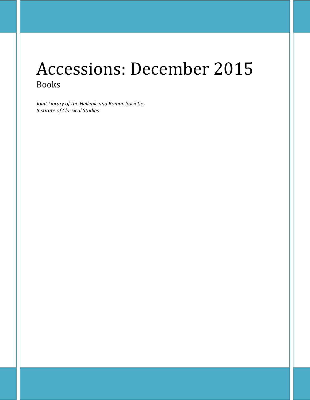# Accessions: December 2015 Books

*Joint Library of the Hellenic and Roman Societies Institute of Classical Studies*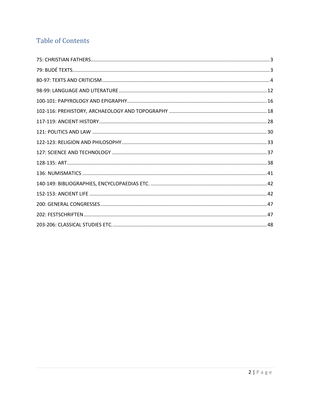# **Table of Contents**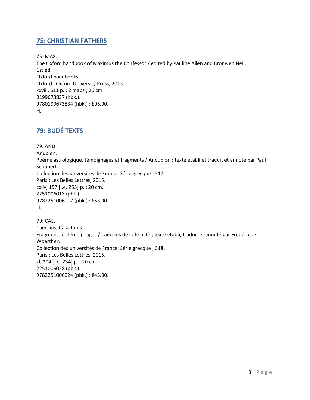# <span id="page-2-0"></span>**75: CHRISTIAN FATHERS**

75: MAX. The Oxford handbook of Maximus the Confessor / edited by Pauline Allen and Bronwen Neil. 1st ed. Oxford handbooks. Oxford : Oxford University Press, 2015. xxviii, 611 p. : 2 maps ; 26 cm. 0199673837 (hbk.). 9780199673834 (hbk.) : £95.00. H.

# <span id="page-2-1"></span>**79: BUDÉ TEXTS**

79: ANU. Anubion. Poème astrologique, témoignages et fragments / Anoubion ; texte établi et traduit et annoté par Paul Schubert. Collection des universités de France. Série grecque ; 517. Paris : Les Belles Lettres, 2015. cxliv, 157 [i.e. 265] p. ; 20 cm. 225100601X (pbk.). 9782251006017 (pbk.) : €53.00. H.

79: CAE. Caecilius, Calactinus. Fragments et témoignages / Caecilius de Calè-actè ; texte établi, traduit et annoté par Frédérique Woerther. Collection des universités de France. Série grecque ; 518. Paris : Les Belles Lettres, 2015. xl, 204 [i.e. 234] p. ; 20 cm. 2251006028 (pbk.). 9782251006024 (pbk.) : €43.00.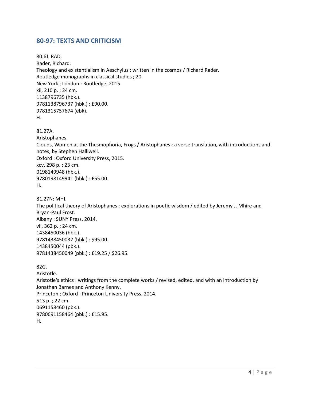# <span id="page-3-0"></span>**80-97: TEXTS AND CRITICISM**

80.6J: RAD. Rader, Richard. Theology and existentialism in Aeschylus : written in the cosmos / Richard Rader. Routledge monographs in classical studies ; 20. New York ; London : Routledge, 2015. xii, 210 p. ; 24 cm. 1138796735 (hbk.). 9781138796737 (hbk.) : £90.00. 9781315757674 (ebk). H.

81.27A.

Aristophanes. Clouds, Women at the Thesmophoria, Frogs / Aristophanes ; a verse translation, with introductions and notes, by Stephen Halliwell. Oxford : Oxford University Press, 2015. xcv, 298 p. ; 23 cm. 0198149948 (hbk.). 9780198149941 (hbk.) : £55.00. H.

81.27N: MHI. The political theory of Aristophanes : explorations in poetic wisdom / edited by Jeremy J. Mhire and Bryan-Paul Frost. Albany : SUNY Press, 2014. vii, 362 p. ; 24 cm. 1438450036 (hbk.). 9781438450032 (hbk.) : \$95.00. 1438450044 (pbk.). 9781438450049 (pbk.) : £19.25 / \$26.95.

```
82G. 
Aristotle.
Aristotle's ethics : writings from the complete works / revised, edited, and with an introduction by 
Jonathan Barnes and Anthony Kenny.
Princeton ; Oxford : Princeton University Press, 2014.
513 p. ; 22 cm.
0691158460 (pbk.). 
9780691158464 (pbk.) : £15.95. 
H.
```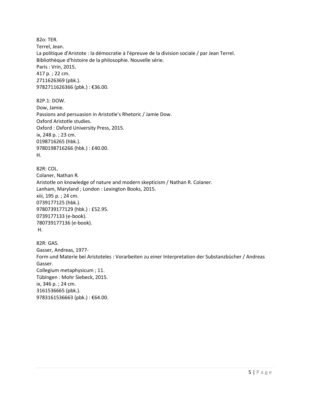82o: TER. Terrel, Jean. La politique d'Aristote : la démocratie à l'épreuve de la division sociale / par Jean Terrel. Bibliothèque d'histoire de la philosophie. Nouvelle série. Paris : Vrin, 2015. 417 p. ; 22 cm. 2711626369 (pbk.). 9782711626366 (pbk.) : €36.00. 82P.1: DOW. Dow, Jamie. Passions and persuasion in Aristotle's Rhetoric / Jamie Dow. Oxford Aristotle studies. Oxford : Oxford University Press, 2015. ix, 248 p. ; 23 cm. 0198716265 (hbk.). 9780198716266 (hbk.) : £40.00. H. 82R: COL. Colaner, Nathan R. Aristotle on knowledge of nature and modern skepticism / Nathan R. Colaner. Lanham, Maryland ; London : Lexington Books, 2015. xiii, 195 p. ; 24 cm. 0739177125 (hbk.). 9780739177129 (hbk.) : £52.95. 0739177133 (e-book). 780739177136 (e-book). H. 82R: GAS. Gasser, Andreas, 1977- Form und Materie bei Aristoteles : Vorarbeiten zu einer Interpretation der Substanzbücher / Andreas Gasser. Collegium metaphysicum ; 11. Tübingen : Mohr Siebeck, 2015. ix, 346 p. ; 24 cm. 3161536665 (pbk.). 9783161536663 (pbk.): €64.00.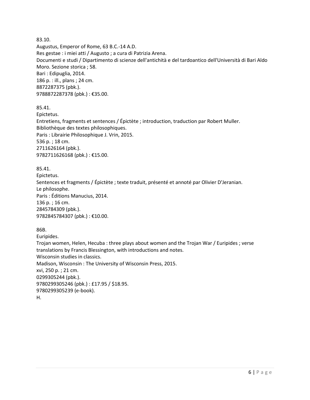83.10. Augustus, Emperor of Rome, 63 B.C.-14 A.D. Res gestae : i miei atti / Augusto ; a cura di Patrizia Arena. Documenti e studi / Dipartimento di scienze dell'antichità e del tardoantico dell'Università di Bari Aldo Moro. Sezione storica ; 58. Bari : Edipuglia, 2014. 186 p. : ill., plans ; 24 cm. 8872287375 (pbk.). 9788872287378 (pbk.) : €35.00.

85.41.

Epictetus. Entretiens, fragments et sentences / Épictète ; introduction, traduction par Robert Muller. Bibliothèque des textes philosophiques. Paris : Librairie Philosophique J. Vrin, 2015. 536 p. ; 18 cm. 2711626164 (pbk.). 9782711626168 (pbk.) : €15.00.

85.41. Epictetus. Sentences et fragments / Épictète ; texte traduit, présenté et annoté par Olivier D'Jeranian. Le philosophe. Paris : Éditions Manucius, 2014. 136 p. ; 16 cm. 2845784309 (pbk.). 9782845784307 (pbk.) : €10.00.

86B.

Euripides. Trojan women, Helen, Hecuba : three plays about women and the Trojan War / Euripides ; verse translations by Francis Blessington, with introductions and notes. Wisconsin studies in classics. Madison, Wisconsin : The University of Wisconsin Press, 2015. xvi, 250 p. ; 21 cm. 0299305244 (pbk.). 9780299305246 (pbk.) : £17.95 / \$18.95. 9780299305239 (e-book). H.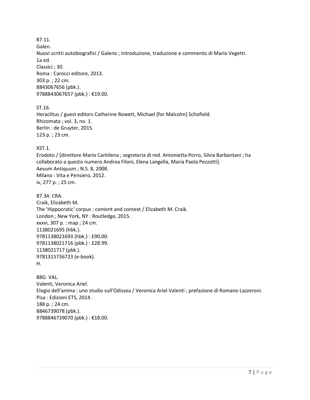87.11.

Galen.

Nuovi scritti autobiografici / Galeno ; introduzione, traduzione e commento di Mario Vegetti. 1a ed. Classici ; 30. Roma : Carocci editore, 2013. 303 p. ; 22 cm. 8843067656 (pbk.). 9788843067657 (pbk.) : €19.00.

ST.16.

Heraclitus / guest editors Catherine Rowett, Michael [for Malcolm] Schofield. Rhizomata ; vol. 3, no. 1. Berlin : de Gruyter, 2015. 123 p. ; 23 cm.

XST.1.

Erodoto / [direttore Mario Cantilena ; segreteria di red. Antonietta Porro, Silvia Barbantani ; ha collaborato a questo numero Andrea Filoni, Elena Langella, Maria Paola Pezzotti]. Aevum Antiquum ; N.S. 8, 2008. Milano : Vita e Pensiero, 2012. iv, 277 p. ; 25 cm.

87.34: CRA. Craik, Elizabeth M. The 'Hippocratic' corpus : content and context / Elizabeth M. Craik. London ; New York, NY : Routledge, 2015. xxxvi, 307 p. : map ; 24 cm. 1138021695 (hbk.). 9781138021693 (hbk.) : £90.00. 9781138021716 (pbk.) : £28.99. 1138021717 (pbk.). 9781315736723 (e-book). H.

88G: VAL. Valenti, Veronica Ariel. Elogio dell'anima : uno studio sull'Odissea / Veronica Ariel Valenti ; prefazione di Romano Lazzeroni. Pisa : Edizioni ETS, 2014. 188 p. ; 24 cm. 8846739078 (pbk.). 9788846739070 (pbk.) : €18.00.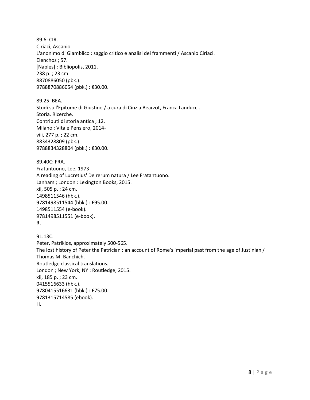89.6: CIR. Ciriaci, Ascanio. L'anonimo di Giamblico : saggio critico e analisi dei frammenti / Ascanio Ciriaci. Elenchos ; 57. [Naples] : Bibliopolis, 2011. 238 p. ; 23 cm. 8870886050 (pbk.). 9788870886054 (pbk.) : €30.00.

89.25: BEA. Studi sull'Epitome di Giustino / a cura di Cinzia Bearzot, Franca Landucci. Storia. Ricerche. Contributi di storia antica ; 12. Milano : Vita e Pensiero, 2014 viii, 277 p. ; 22 cm. 8834328809 (pbk.). 9788834328804 (pbk.) : €30.00.

89.40C: FRA. Fratantuono, Lee, 1973- A reading of Lucretius' De rerum natura / Lee Fratantuono. Lanham ; London : Lexington Books, 2015. xii, 505 p. ; 24 cm. 1498511546 (hbk.). 9781498511544 (hbk.) : £95.00. 1498511554 (e-book). 9781498511551 (e-book). R.

91.13C. Peter, Patrikios, approximately 500-565. The lost history of Peter the Patrician : an account of Rome's imperial past from the age of Justinian / Thomas M. Banchich. Routledge classical translations. London ; New York, NY : Routledge, 2015. xii, 185 p. ; 23 cm. 0415516633 (hbk.). 9780415516631 (hbk.) : £75.00. 9781315714585 (ebook). H.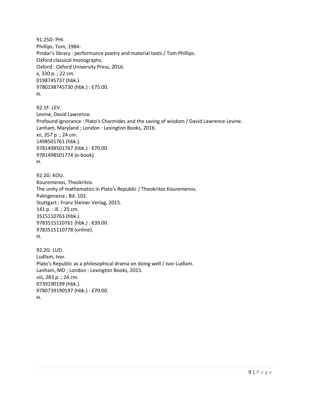91.25D: PHI. Phillips, Tom, 1984- Pindar's library : performance poetry and material texts / Tom Phillips. Oxford classical monographs. Oxford : Oxford University Press, 2016. x, 330 p. ; 22 cm. 0198745737 (hbk.). 9780198745730 (hbk.) : £75.00. H.

92.1F: LEV. Levine, David Lawrence. Profound ignorance : Plato's Charmides and the saving of wisdom / David Lawrence Levine. Lanham, Maryland ; London : Lexington Books, 2016. xii, 357 p. ; 24 cm. 1498501761 (hbk.). 9781498501767 (hbk.) : £70.00. 9781498501774 (e-book). H.

92.2G: KOU. Kouremenos, Theokritos. The unity of mathematics in Plato's Republic / Theokritos Kouremenos. Palingenesia ; Bd. 102. Stuttgart : Franz Steiner Verlag, 2015. 141 p. : ill. ; 25 cm. 3515110763 (hbk.). 9783515110761 (hbk.) : €39.00. 9783515110778 (online). H.

92.2G: LUD. Ludlam, Ivor. Plato's Republic as a philosophical drama on doing well / Ivor Ludlam. Lanham, MD ; London : Lexington Books, 2015. viii, 283 p. ; 24 cm. 0739190199 (hbk.). 9780739190197 (hbk.) : £70.00. H.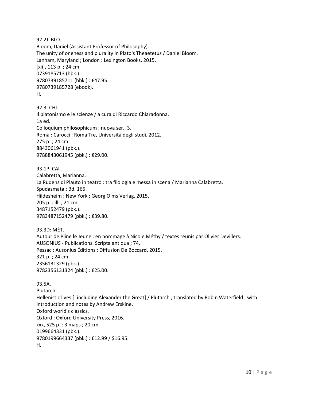92.2J: BLO. Bloom, Daniel (Assistant Professor of Philosophy). The unity of oneness and plurality in Plato's Theaetetus / Daniel Bloom. Lanham, Maryland ; London : Lexington Books, 2015. [xii], 113 p. ; 24 cm. 0739185713 (hbk.). 9780739185711 (hbk.) : £47.95. 9780739185728 (ebook). H. 92.3: CHI.

Il platonismo e le scienze / a cura di Riccardo Chiaradonna. 1a ed. Colloquium philosophicum ; nuova ser., 3. Roma : Carocci : Roma Tre, Università degli studi, 2012. 275 p. ; 24 cm. 8843061941 (pbk.). 9788843061945 (pbk.) : €29.00.

93.1P: CAL. Calabretta, Marianna. La Rudens di Plauto in teatro : tra filologia e messa in scena / Marianna Calabretta. Spudasmata ; Bd. 165. Hildesheim ; New York : Georg Olms Verlag, 2015. 205 p. : ill. ; 21 cm. 3487152479 (pbk.). 9783487152479 (pbk.) : €39.80.

93.3D: MÉT. Autour de Pline le Jeune : en hommage à Nicole Méthy / textes réunis par Olivier Devillers. AUSONIUS - Publications. Scripta antiqua ; 74. Pessac : Ausonius Éditions : Diffusion De Boccard, 2015. 321 p. ; 24 cm. 2356131329 (pbk.). 9782356131324 (pbk.) : €25.00.

93.5A. Plutarch. Hellenistic lives [: including Alexander the Great] / Plutarch ; translated by Robin Waterfield ; with introduction and notes by Andrew Erskine. Oxford world's classics. Oxford : Oxford University Press, 2016. xxx, 525 p. : 3 maps ; 20 cm. 0199664331 (pbk.). 9780199664337 (pbk.) : £12.99 / \$16.95. H.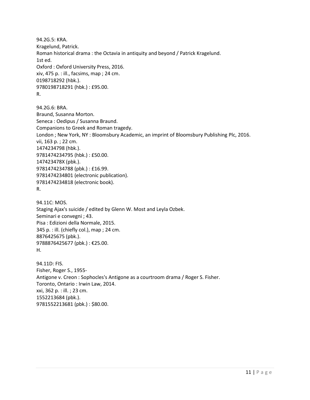94.2G.5: KRA. Kragelund, Patrick. Roman historical drama : the Octavia in antiquity and beyond / Patrick Kragelund. 1st ed. Oxford : Oxford University Press, 2016. xiv, 475 p. : ill., facsims, map ; 24 cm. 0198718292 (hbk.). 9780198718291 (hbk.) : £95.00. R.

94.2G.6: BRA. Braund, Susanna Morton. Seneca : Oedipus / Susanna Braund. Companions to Greek and Roman tragedy. London ; New York, NY : Bloomsbury Academic, an imprint of Bloomsbury Publishing Plc, 2016. vii, 163 p. ; 22 cm. 1474234798 (hbk.). 9781474234795 (hbk.) : £50.00. 147423478X (pbk.). 9781474234788 (pbk.) : £16.99. 9781474234801 (electronic publication). 9781474234818 (electronic book). R.

94.11C: MOS. Staging Ajax's suicide / edited by Glenn W. Most and Leyla Ozbek. Seminari e convegni ; 43. Pisa : Edizioni della Normale, 2015. 345 p. : ill. (chiefly col.), map ; 24 cm. 8876425675 (pbk.). 9788876425677 (pbk.) : €25.00. H.

94.11D: FIS. Fisher, Roger S., 1955- Antigone v. Creon : Sophocles's Antigone as a courtroom drama / Roger S. Fisher. Toronto, Ontario : Irwin Law, 2014. xxi, 362 p. : ill. ; 23 cm. 1552213684 (pbk.). 9781552213681 (pbk.) : \$80.00.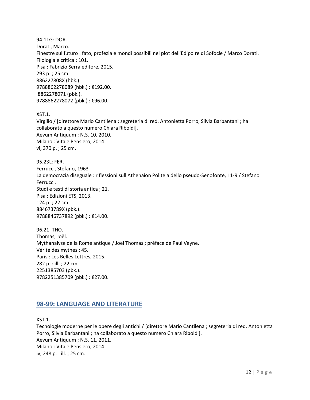94.11G: DOR. Dorati, Marco. Finestre sul futuro : fato, profezia e mondi possibili nel plot dell'Edipo re di Sofocle / Marco Dorati. Filologia e critica ; 101. Pisa : Fabrizio Serra editore, 2015. 293 p. ; 25 cm. 886227808X (hbk.). 9788862278089 (hbk.) : €192.00. 8862278071 (pbk.). 9788862278072 (pbk.) : €96.00.

XST.1.

Virgilio / [direttore Mario Cantilena ; segreteria di red. Antonietta Porro, Silvia Barbantani ; ha collaborato a questo numero Chiara Riboldi]. Aevum Antiquum ; N.S. 10, 2010. Milano : Vita e Pensiero, 2014. vi, 370 p. ; 25 cm.

95.23L: FER. Ferrucci, Stefano, 1963- La democrazia diseguale : riflessioni sull'Athenaion Politeia dello pseudo-Senofonte, I 1-9 / Stefano Ferrucci. Studi e testi di storia antica ; 21. Pisa : Edizioni ETS, 2013. 124 p. ; 22 cm. 884673789X (pbk.). 9788846737892 (pbk.): €14.00.

96.21: THO. Thomas, Joël. Mythanalyse de la Rome antique / Joël Thomas ; préface de Paul Veyne. Vérité des mythes ; 45. Paris : Les Belles Lettres, 2015. 282 p. : ill. ; 22 cm. 2251385703 (pbk.). 9782251385709 (pbk.) : €27.00.

# <span id="page-11-0"></span>**98-99: LANGUAGE AND LITERATURE**

XST.1.

Tecnologie moderne per le opere degli antichi / [direttore Mario Cantilena ; segreteria di red. Antonietta Porro, Silvia Barbantani ; ha collaborato a questo numero Chiara Riboldi]. Aevum Antiquum ; N.S. 11, 2011. Milano : Vita e Pensiero, 2014. iv, 248 p. : ill. ; 25 cm.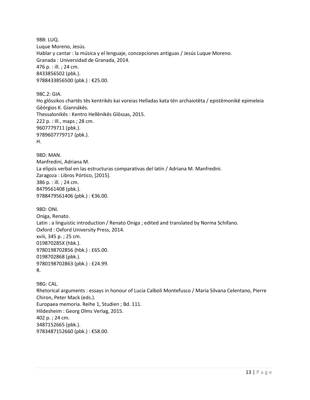98B: LUQ. Luque Moreno, Jesús. Hablar y cantar : la música y el lenguaje, concepciones antiguas / Jesús Luque Moreno. Granada : Universidad de Granada, 2014. 476 p. : ill. ; 24 cm. 8433856502 (pbk.). 9788433856500 (pbk.) : €25.00.

98C.2: GIA. Ho glōssikos chartēs tēs kentrikēs kai voreias Helladas kata tēn archaiotēta / epistēmonikē epimeleia Gēórgios K. Giannákēs. Thessalonikēs : Kentro Hellēnikēs Glōssas, 2015. 222 p. : Ill., maps ; 28 cm. 9607779711 (pbk.). 9789607779717 (pbk.). H.

98D: MAN. Manfredini, Adriana M. La elipsis verbal en las estructuras comparativas del latín / Adriana M. Manfredini. Zaragoza : Libros Pórtico, [2015]. 386 p. : ill. ; 24 cm. 8479561408 (pbk.). 9788479561406 (pbk.) : €36.00.

98D: ONI. Oniga, Renato. Latin : a linguistic introduction / Renato Oniga ; edited and translated by Norma Schifano. Oxford : Oxford University Press, 2014. xviii, 345 p. ; 25 cm. 019870285X (hbk.). 9780198702856 (hbk.) : £65.00. 0198702868 (pbk.). 9780198702863 (pbk.) : £24.99. R.

98G: CAL. Rhetorical arguments : essays in honour of Lucia Calboli Montefusco / Maria Silvana Celentano, Pierre Chiron, Peter Mack (eds.). Europaea memoria. Reihe 1, Studien ; Bd. 111. Hildesheim : Georg Olms Verlag, 2015. 402 p. ; 24 cm. 3487152665 (pbk.). 9783487152660 (pbk.) : €58.00.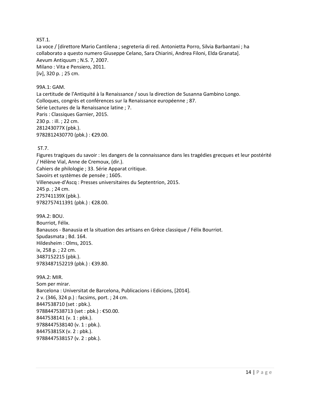#### XST.1.

La voce / [direttore Mario Cantilena ; segreteria di red. Antonietta Porro, Silvia Barbantani ; ha collaborato a questo numero Giuseppe Celano, Sara Chiarini, Andrea Filoni, Elda Granata]. Aevum Antiquum ; N.S. 7, 2007. Milano : Vita e Pensiero, 2011. [iv], 320 p. ; 25 cm.

#### 99A.1: GAM.

La certitude de l'Antiquité à la Renaissance / sous la direction de Susanna Gambino Longo. Colloques, congrès et conférences sur la Renaissance européenne ; 87. Série Lectures de la Renaissance latine ; 7. Paris : Classiques Garnier, 2015. 230 p. : ill. ; 22 cm. 281243077X (pbk.). 9782812430770 (pbk.) : €29.00.

#### ST.7.

Figures tragiques du savoir : les dangers de la connaissance dans les tragédies grecques et leur postérité / Hélène Vial, Anne de Cremoux, (dir.). Cahiers de philologie ; 33. Série Apparat critique. Savoirs et systèmes de pensée ; 1605. Villeneuve-d'Ascq : Presses universitaires du Septentrion, 2015. 245 p. ; 24 cm. 275741139X (pbk.). 9782757411391 (pbk.) : €28.00.

99A.2: BOU. Bourriot, Félix. Banausos - Banausia et la situation des artisans en Grèce classique / Félix Bourriot. Spudasmata ; Bd. 164. Hildesheim : Olms, 2015. ix, 258 p. ; 22 cm. 3487152215 (pbk.). 9783487152219 (pbk.) : €39.80.

99A.2: MIR. Som per mirar. Barcelona : Universitat de Barcelona, Publicacions i Edicions, [2014]. 2 v. (346, 324 p.) : facsims, port. ; 24 cm. 8447538710 (set : pbk.). 9788447538713 (set : pbk.) : €50.00. 8447538141 (v. 1 : pbk.). 9788447538140 (v. 1 : pbk.). 844753815X (v. 2 : pbk.). 9788447538157 (v. 2 : pbk.).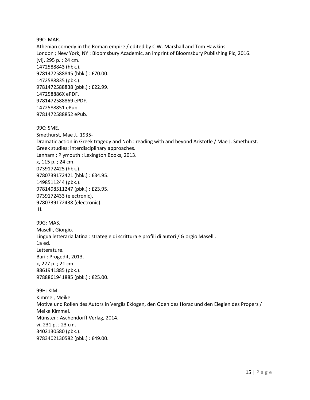99C: MAR. Athenian comedy in the Roman empire / edited by C.W. Marshall and Tom Hawkins. London ; New York, NY : Bloomsbury Academic, an imprint of Bloomsbury Publishing Plc, 2016. [vi], 295 p. ; 24 cm. 1472588843 (hbk.). 9781472588845 (hbk.) : £70.00. 1472588835 (pbk.). 9781472588838 (pbk.) : £22.99. 147258886X ePDF. 9781472588869 ePDF. 1472588851 ePub. 9781472588852 ePub. 99C: SME. Smethurst, Mae J., 1935- Dramatic action in Greek tragedy and Noh : reading with and beyond Aristotle / Mae J. Smethurst. Greek studies: interdisciplinary approaches. Lanham ; Plymouth : Lexington Books, 2013. x, 115 p. ; 24 cm. 0739172425 (hbk.). 9780739172421 (hbk.) : £34.95. 1498511244 (pbk.). 9781498511247 (pbk.) : £23.95. 0739172433 (electronic). 9780739172438 (electronic). H. 99G: MAS. Maselli, Giorgio. Lingua letteraria latina : strategie di scrittura e profili di autori / Giorgio Maselli. 1a ed. Letterature. Bari : Progedit, 2013. x, 227 p. ; 21 cm. 8861941885 (pbk.). 9788861941885 (pbk.) : €25.00. 99H: KIM. Kimmel, Meike. Motive und Rollen des Autors in Vergils Eklogen, den Oden des Horaz und den Elegien des Properz / Meike Kimmel. Münster : Aschendorff Verlag, 2014. vi, 231 p. ; 23 cm. 3402130580 (pbk.).

9783402130582 (pbk.) : €49.00.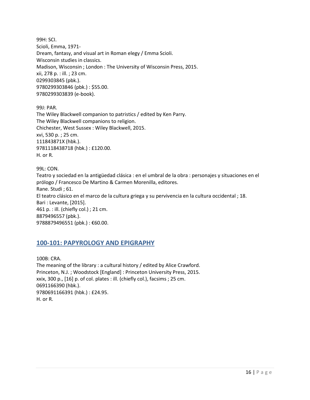99H: SCI. Scioli, Emma, 1971- Dream, fantasy, and visual art in Roman elegy / Emma Scioli. Wisconsin studies in classics. Madison, Wisconsin ; London : The University of Wisconsin Press, 2015. xii, 278 p. : ill. ; 23 cm. 0299303845 (pbk.). 9780299303846 (pbk.) : \$55.00. 9780299303839 (e-book).

99J: PAR.

The Wiley Blackwell companion to patristics / edited by Ken Parry. The Wiley Blackwell companions to religion. Chichester, West Sussex : Wiley Blackwell, 2015. xvi, 530 p. ; 25 cm. 111843871X (hbk.). 9781118438718 (hbk.) : £120.00. H. or R.

99L: CON. Teatro y sociedad en la antigüedad clásica : en el umbral de la obra : personajes y situaciones en el prólogo / Francesco De Martino & Carmen Morenilla, editores. Rane. Studi ; 61. El teatro clásico en el marco de la cultura griega y su pervivencia en la cultura occidental ; 18. Bari : Levante, [2015]. 461 p. : ill. (chiefly col.) ; 21 cm. 8879496557 (pbk.). 9788879496551 (pbk.) : €60.00.

# <span id="page-15-0"></span>**100-101: PAPYROLOGY AND EPIGRAPHY**

100B: CRA. The meaning of the library : a cultural history / edited by Alice Crawford. Princeton, N.J. ; Woodstock [England] : Princeton University Press, 2015. xxix, 300 p., [16] p. of col. plates : ill. (chiefly col.), facsims ; 25 cm. 0691166390 (hbk.). 9780691166391 (hbk.) : £24.95. H. or R.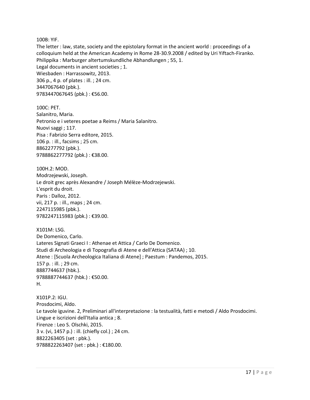#### 100B: YIF.

The letter : law, state, society and the epistolary format in the ancient world : proceedings of a colloquium held at the American Academy in Rome 28-30.9.2008 / edited by Uri Yiftach-Firanko. Philippika : Marburger altertumskundliche Abhandlungen ; 55, 1. Legal documents in ancient societies ; 1. Wiesbaden : Harrassowitz, 2013. 306 p., 4 p. of plates : ill. ; 24 cm. 3447067640 (pbk.). 9783447067645 (pbk.) : €56.00.

100C: PET. Salanitro, Maria. Petronio e i veteres poetae a Reims / Maria Salanitro. Nuovi saggi ; 117. Pisa : Fabrizio Serra editore, 2015. 106 p. : ill., facsims ; 25 cm. 8862277792 (pbk.). 9788862277792 (pbk.) : €38.00.

100H.2: MOD. Modrzejewski, Joseph. Le droit grec après Alexandre / Joseph Mélèze-Modrzejewski. L'esprit du droit. Paris : Dalloz, 2012. vii, 217 p. : ill., maps ; 24 cm. 2247115985 (pbk.). 9782247115983 (pbk.) : €39.00.

X101M: LSG. De Domenico, Carlo. Lateres Signati Graeci I : Athenae et Attica / Carlo De Domenico. Studi di Archeologia e di Topografia di Atene e dell'Attica (SATAA) ; 10. Atene : [Scuola Archeologica Italiana di Atene] ; Paestum : Pandemos, 2015. 157 p. : ill. ; 29 cm. 8887744637 (hbk.). 9788887744637 (hbk.) : €50.00. H.

X101P.2: IGU. Prosdocimi, Aldo. Le tavole iguvine. 2, Preliminari all'interpretazione : la testualità, fatti e metodi / Aldo Prosdocimi. Lingue e iscrizioni dell'Italia antica ; 8. Firenze : Leo S. Olschki, 2015. 3 v. (vi, 1457 p.) : ill. (chiefly col.) ; 24 cm. 8822263405 (set : pbk.). 9788822263407 (set : pbk.) : €180.00.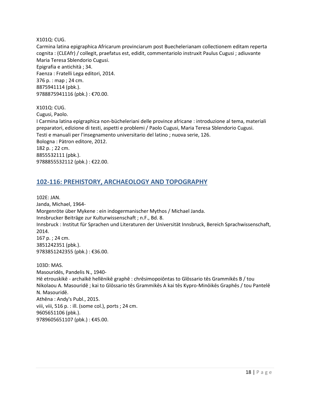X101Q: CUG.

Carmina latina epigraphica Africarum provinciarum post Buechelerianam collectionem editam reperta cognita : (CLEAfr) / collegit, praefatus est, edidit, commentariolo instruxit Paulus Cugusi ; adiuvante Maria Teresa Sblendorio Cugusi. Epigrafia e antichità ; 34. Faenza : Fratelli Lega editori, 2014. 376 p. : map ; 24 cm. 8875941114 (pbk.). 9788875941116 (pbk.) : €70.00.

X101Q: CUG. Cugusi, Paolo. I Carmina latina epigraphica non-bücheleriani delle province africane : introduzione al tema, materiali preparatori, edizione di testi, aspetti e problemi / Paolo Cugusi, Maria Teresa Sblendorio Cugusi. Testi e manuali per l'insegnamento universitario del latino ; nuova serie, 126. Bologna : Pàtron editore, 2012. 182 p. ; 22 cm. 8855532111 (pbk.). 9788855532112 (pbk.) : €22.00.

# <span id="page-17-0"></span>**102-116: PREHISTORY, ARCHAEOLOGY AND TOPOGRAPHY**

102E: JAN. Janda, Michael, 1964- Morgenröte über Mykene : ein indogermanischer Mythos / Michael Janda. Innsbrucker Beiträge zur Kulturwissenschaft ; n.F., Bd. 8. Innsbruck : Institut für Sprachen und Literaturen der Universität Innsbruck, Bereich Sprachwissenschaft, 2014. 167 p. ; 24 cm. 3851242351 (pbk.). 9783851242355 (pbk.) : €36.00. 103D: MAS.

Masouridēs, Pandelis N., 1940- Hē etrouskikē - archaïkē hellēnikē graphē : chrēsimopoiōntas to Glōssario tēs Grammikēs B / tou Nikolaou A. Masouridē ; kai to Glōssario tēs Grammikēs A kai tēs Kypro-Minōikēs Graphēs / tou Pantelē N. Masouridē. Athēna : Andy's Publ., 2015. viii, viii, 516 p. : ill. (some col.), ports ; 24 cm. 9605651106 (pbk.). 9789605651107 (pbk.): €45.00.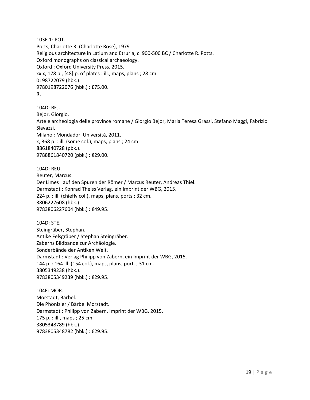103E.1: POT. Potts, Charlotte R. (Charlotte Rose), 1979- Religious architecture in Latium and Etruria, c. 900-500 BC / Charlotte R. Potts. Oxford monographs on classical archaeology. Oxford : Oxford University Press, 2015. xxix, 178 p., [48] p. of plates : ill., maps, plans ; 28 cm. 0198722079 (hbk.). 9780198722076 (hbk.) : £75.00. R.

104D: BEJ. Bejor, Giorgio. Arte e archeologia delle province romane / Giorgio Bejor, Maria Teresa Grassi, Stefano Maggi, Fabrizio Slavazzi. Milano : Mondadori Università, 2011. x, 368 p. : ill. (some col.), maps, plans ; 24 cm. 8861840728 (pbk.). 9788861840720 (pbk.) : €29.00.

104D: REU. Reuter, Marcus. Der Limes : auf den Spuren der Römer / Marcus Reuter, Andreas Thiel. Darmstadt : Konrad Theiss Verlag, ein Imprint der WBG, 2015. 224 p. : ill. (chiefly col.), maps, plans, ports ; 32 cm. 3806227608 (hbk.). 9783806227604 (hbk.) : €49.95.

104D: STE. Steingräber, Stephan. Antike Felsgräber / Stephan Steingräber. Zaberns Bildbände zur Archäologie. Sonderbände der Antiken Welt. Darmstadt : Verlag Philipp von Zabern, ein Imprint der WBG, 2015. 144 p. : 164 ill. (154 col.), maps, plans, port. ; 31 cm. 3805349238 (hbk.). 9783805349239 (hbk.) : €29.95.

104E: MOR. Morstadt, Bärbel. Die Phönizier / Bärbel Morstadt. Darmstadt : Philipp von Zabern, Imprint der WBG, 2015. 175 p. : ill., maps ; 25 cm. 3805348789 (hbk.). 9783805348782 (hbk.) : €29.95.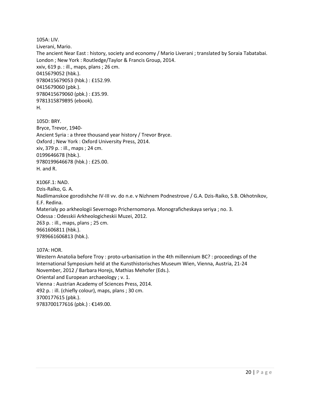105A: LIV. Liverani, Mario. The ancient Near East : history, society and economy / Mario Liverani ; translated by Soraia Tabatabai. London ; New York : Routledge/Taylor & Francis Group, 2014. xxiv, 619 p. : ill., maps, plans ; 26 cm. 0415679052 (hbk.). 9780415679053 (hbk.) : £152.99. 0415679060 (pbk.). 9780415679060 (pbk.) : £35.99. 9781315879895 (ebook). H.

105D: BRY. Bryce, Trevor, 1940- Ancient Syria : a three thousand year history / Trevor Bryce. Oxford ; New York : Oxford University Press, 2014. xiv, 379 p. : ill., maps ; 24 cm. 0199646678 (hbk.). 9780199646678 (hbk.) : £25.00. H. and R.

X106F.1: NAD. Dzis-Raĭko, G. A. Nadlimanskoe gorodishche IV-III vv. do n.e. v Nizhnem Podnestrove / G.A. Dzis-Raiko, S.B. Okhotnikov, E.F. Redina. Materialy po arkheologii Severnogo Prichernomorya. Monograficheskaya seriya ; no. 3. Odessa : Odesskii Arkheologicheskii Muzei, 2012. 263 p. : ill., maps, plans ; 25 cm. 9661606811 (hbk.). 9789661606813 (hbk.).

107A: HOR.

Western Anatolia before Troy : proto-urbanisation in the 4th millennium BC? : proceedings of the International Symposium held at the Kunsthistorisches Museum Wien, Vienna, Austria, 21-24 November, 2012 / Barbara Horejs, Mathias Mehofer (Eds.). Oriental and European archaeology ; v. 1. Vienna : Austrian Academy of Sciences Press, 2014. 492 p. : ill. (chiefly colour), maps, plans ; 30 cm. 3700177615 (pbk.). 9783700177616 (pbk.) : €149.00.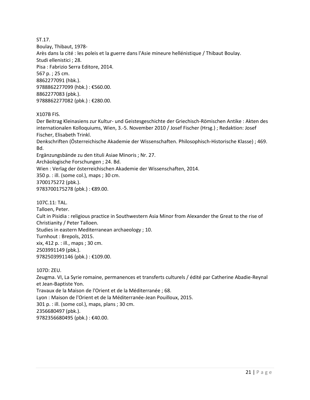ST.17. Boulay, Thibaut, 1978- Arès dans la cité : les poleis et la guerre dans l'Asie mineure hellénistique / Thibaut Boulay. Studi ellenistici ; 28. Pisa : Fabrizio Serra Editore, 2014. 567 p. ; 25 cm. 8862277091 (hbk.). 9788862277099 (hbk.) : €560.00. 8862277083 (pbk.). 9788862277082 (pbk.) : €280.00.

X107B FIS.

Der Beitrag Kleinasiens zur Kultur- und Geistesgeschichte der Griechisch-Römischen Antike : Akten des internationalen Kolloquiums, Wien, 3.-5. November 2010 / Josef Fischer (Hrsg.) ; Redaktion: Josef Fischer, Elisabeth Trinkl.

Denkschriften (Österreichische Akademie der Wissenschaften. Philosophisch-Historische Klasse) ; 469. Bd.

Ergänzungsbände zu den tituli Asiae Minoris ; Nr. 27.

Archäologische Forschungen ; 24. Bd.

Wien : Verlag der österreichischen Akademie der Wissenschaften, 2014.

350 p. : ill. (some col.), maps ; 30 cm. 3700175272 (pbk.).

9783700175278 (pbk.) : €89.00.

107C.11: TAL.

Talloen, Peter. Cult in Pisidia : religious practice in Southwestern Asia Minor from Alexander the Great to the rise of Christianity / Peter Talloen. Studies in eastern Mediterranean archaeology ; 10. Turnhout : Brepols, 2015. xix, 412 p. : ill., maps ; 30 cm. 2503991149 (pbk.). 9782503991146 (pbk.) : €109.00.

107D: ZEU.

Zeugma. VI, La Syrie romaine, permanences et transferts culturels / édité par Catherine Abadie-Reynal et Jean-Baptiste Yon.

Travaux de la Maison de l'Orient et de la Méditerranée ; 68.

Lyon : Maison de l'Orient et de la Méditerranée-Jean Pouilloux, 2015.

301 p. : ill. (some col.), maps, plans ; 30 cm.

2356680497 (pbk.).

9782356680495 (pbk.) : €40.00.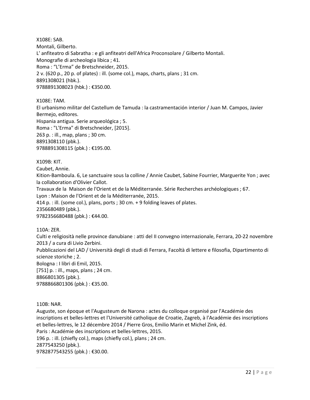X108E: SAB. Montali, Gilberto. L' anfiteatro di Sabratha : e gli anfiteatri dell'Africa Proconsolare / Gilberto Montali. Monografie di archeologia libica ; 41. Roma : "L'Erma" de Bretschneider, 2015. 2 v. (620 p., 20 p. of plates) : ill. (some col.), maps, charts, plans ; 31 cm. 8891308021 (hbk.). 9788891308023 (hbk.) : €350.00.

X108E: TAM.

El urbanismo militar del Castellum de Tamuda : la castramentación interior / Juan M. Campos, Javier Bermejo, editores. Hispania antigua. Serie arqueológica ; 5. Roma : "L'Erma" di Bretschneider, [2015]. 263 p. : ill., map, plans ; 30 cm.

8891308110 (pbk.).

9788891308115 (pbk.) : €195.00.

X109B: KIT.

Caubet, Annie.

Kition-Bamboula. 6, Le sanctuaire sous la colline / Annie Caubet, Sabine Fourrier, Marguerite Yon ; avec la collaboration d'Olivier Callot.

Travaux de la Maison de l'Orient et de la Méditerranée. Série Recherches archéologiques ; 67.

Lyon : Maison de l'Orient et de la Méditerranée, 2015.

414 p. : ill. (some col.), plans, ports ; 30 cm. + 9 folding leaves of plates.

2356680489 (pbk.).

9782356680488 (pbk.): €44.00.

110A: ZER.

Culti e religiosità nelle province danubiane : atti del II convegno internazionale, Ferrara, 20-22 novembre 2013 / a cura di Livio Zerbini.

Pubblicazioni del LAD / Università degli di studi di Ferrara, Facoltà di lettere e filosofia, Dipartimento di scienze storiche ; 2. Bologna : I libri di Emil, 2015.

 $[751]$  p. : ill., maps, plans ; 24 cm. 8866801305 (pbk.).

9788866801306 (pbk.) : €35.00.

110B: NAR.

Auguste, son époque et l'Augusteum de Narona : actes du colloque organisé par l'Académie des inscriptions et belles-lettres et l'Université catholique de Croatie, Zagreb, à l'Académie des inscriptions et belles-lettres, le 12 décembre 2014 / Pierre Gros, Emilio Marin et Michel Zink, éd. Paris : Académie des inscriptions et belles-lettres, 2015. 196 p. : ill. (chiefly col.), maps (chiefly col.), plans ; 24 cm. 2877543250 (pbk.). 9782877543255 (pbk.) : €30.00.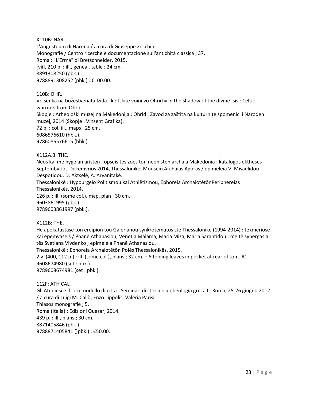X110B: NAR.

L'Augusteum di Narona / a cura di Giuseppe Zecchini. Monografie / Centro ricerche e documentazione sull'antichità classica ; 37. Roma : "L'Erma" di Bretschneider, 2015. [vii], 210 p. : ill., geneal. table ; 24 cm. 8891308250 (pbk.). 9788891308252 (pbk.) : €100.00.

110B: OHR.

Vo senka na božestvenata Izida : keltskite voini vo Ohrid = In the shadow of the divine Isis : Celtic warriors from Ohrid.

Skopje : Arheološki muzej na Makedonija ; Ohrid : Zavod za zaštita na kulturnite spomenici i Naroden muzej, 2014 (Skopje : Vinsent Grafika).

72 p. : col. ill., maps ; 25 cm. 6086576610 (hbk.). 9786086576615 (hbk.).

#### X112A.3: THE.

Neos kai me hygeian aristēn : opseis tēs zōēs tōn neōn stēn archaia Makedonia : katalogos ekthesēs Septembvrios-Dekemvrios 2014, Thessalonikē, Mouseio Archaias Agoras / epimeleia V. Misaēlidou-Despotidou, D. Aktselē, A. Arvanitakē.

Thessalonikē : Hypourgeio Politismou kai Athlētismou, Ephoreia ArchaiotētōnPeriphereias Thessalonikēs, 2014.

126 p. : ill. (some col.), map, plan ; 30 cm. 9603861995 (pbk.). 9789603861997 (pbk.).

#### X112B: THE.

Hē apokatastasē tōn ereipiōn tou Galerianou synkrotēmatos stē Thessalonikē (1994-2014) : tekmēriōsē kai epemvaseis / Phanē Athanasiou, Venetia Malama, Maria Miza, Maria Sarantidou ; me tē synergasia tēs Svetlana Vivdenko ; epimeleia Phanē Athanasiou.

Thessalonikē : Ephoreia Archaiotētōn Polēs Thessalonikēs, 2015.

2 v. (400, 112 p.) : ill. (some col.), plans ; 32 cm. + 8 folding leaves in pocket at rear of tom. A'. 9608674980 (set : pbk.).

9789608674981 (set : pbk.).

112F: ATH CAL.

Gli Ateniesi e il loro modello di città : Seminari di storia e archeologia greca I : Roma, 25-26 giugno 2012 / a cura di Luigi M. Caliò, Enzo Lippolis, Valeria Parisi.

Thiasos monografie ; 5. Roma (Italia) : Edizioni Quasar, 2014. 439 p. : ill., plans ; 30 cm. 8871405846 (pbk.). 9788871405841 ()pbk.) : €50.00.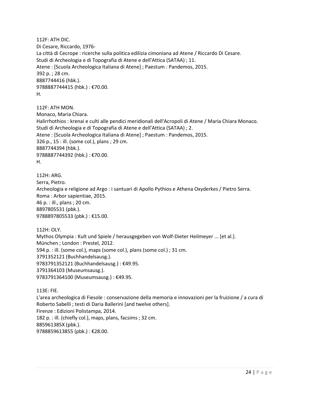112F: ATH DIC. Di Cesare, Riccardo, 1976- La città di Cecrope : ricerche sulla politica edilizia cimoniana ad Atene / Riccardo Di Cesare. Studi di Archeologia e di Topografia di Atene e dell'Attica (SATAA) ; 11. Atene : [Scuola Archeologica Italiana di Atene] ; Paestum : Pandemos, 2015. 392 p. ; 28 cm. 8887744416 (hbk.). 9788887744415 (hbk.) : €70.00. H.

112F: ATH MON. Monaco, Maria Chiara. Halirrhothios : krenai e culti alle pendici meridionali dell'Acropoli di Atene / Maria Chiara Monaco. Studi di Archeologia e di Topografia di Atene e dell'Attica (SATAA) ; 2. Atene : [Scuola Archeologica Italiana di Atene] ; Paestum : Pandemos, 2015. 326 p., 15 : ill. (some col.), plans ; 29 cm. 8887744394 (hbk.). 9788887744392 (hbk.) : €70.00. H.

112H: ARG. Serra, Pietro. Archeologia e religione ad Argo : i santuari di Apollo Pythios e Athena Oxyderkes / Pietro Serra. Roma : Arbor sapientiae, 2015. 46 p. : ill., plans ; 20 cm. 8897805531 (pbk.). 9788897805533 (pbk.) : €15.00.

112H: OLY. Mythos Olympia : Kult und Spiele / herausgegeben von Wolf-Dieter Heilmeyer ... [et al.]. München ; London : Prestel, 2012. 594 p. : ill. (some col.), maps (some col.), plans (some col.) ; 31 cm. 3791352121 (Buchhandelsausg.). 9783791352121 (Buchhandelsausg.) : €49.95. 3791364103 (Museumsausg.). 9783791364100 (Museumsausg.) : €49.95.

113E: FIE. L'area archeologica di Fiesole : conservazione della memoria e innovazioni per la fruizione / a cura di Roberto Sabelli ; testi di Daria Ballerini [and twelve others]. Firenze : Edizioni Polistampa, 2014. 182 p. : ill. (chiefly col.), maps, plans, facsims ; 32 cm. 885961385X (pbk.). 9788859613855 (pbk.) : €28.00.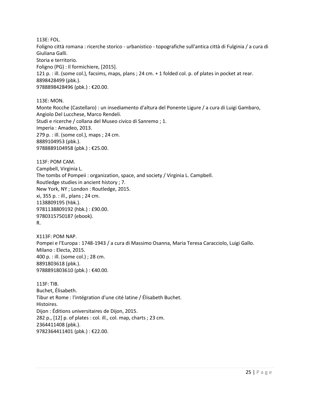113E: FOL.

Foligno città romana : ricerche storico - urbanistico - topografiche sull'antica città di Fulginia / a cura di Giuliana Galli.

Storia e territorio.

Foligno (PG) : Il formichiere, [2015].

121 p. : ill. (some col.), facsims, maps, plans ; 24 cm. + 1 folded col. p. of plates in pocket at rear. 8898428499 (pbk.). 9788898428496 (pbk.) : €20.00.

113E: MON.

Monte Rocche (Castellaro) : un insediamento d'altura del Ponente Ligure / a cura di Luigi Gambaro, Angiolo Del Lucchese, Marco Rendeli. Studi e ricerche / collana del Museo civico di Sanremo ; 1. Imperia : Amadeo, 2013. 279 p. : ill. (some col.), maps ; 24 cm. 8889104953 (pbk.). 9788889104958 (pbk.) : €25.00.

113F: POM CAM. Campbell, Virginia L. The tombs of Pompeii : organization, space, and society / Virginia L. Campbell. Routledge studies in ancient history ; 7. New York, NY ; London : Routledge, 2015. xi, 355 p. : ill., plans ; 24 cm. 1138809195 (hbk.). 9781138809192 (hbk.) : £90.00. 9780315750187 (ebook). R.

X113F: POM NAP. Pompei e l'Europa : 1748-1943 / a cura di Massimo Osanna, Maria Teresa Caracciolo, Luigi Gallo. Milano : Electa, 2015. 400 p. : ill. (some col.) ; 28 cm. 8891803618 (pbk.). 9788891803610 (pbk.) : €40.00.

113F: TIB. Buchet, Élisabeth. Tibur et Rome : l'intégration d'une cité latine / Élisabeth Buchet. Histoires. Dijon : Éditions universitaires de Dijon, 2015. 282 p., [12] p. of plates : col. ill., col. map, charts ; 23 cm. 2364411408 (pbk.). 9782364411401 (pbk.) : €22.00.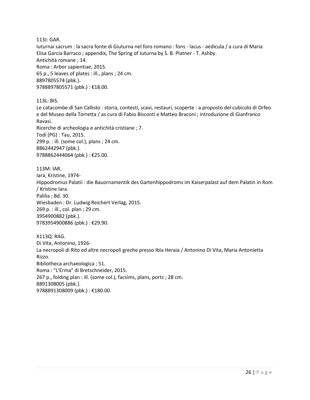113J: GAR.

Iuturnai sacrum : la sacra fonte di Giuturna nel foro romano : fons - lacus - aedicula / a cura di Maria Elisa García Barraco ; appendix, The Spring of Juturna by S. B. Platner - T. Ashby. Antichità romane ; 14. Roma : Arbor sapientiae, 2015. 65 p., 5 leaves of plates : ill., plans ; 24 cm. 8897805574 (pbk.). 9788897805571 (pbk.) : €18.00.

113L: BIS.

Le catacombe di San Callisto : storia, contesti, scavi, restauri, scoperte : a proposto del cubicolo di Orfeo e del Museo della Torretta / as cura di Fabio Bisconti e Matteo Braconi ; introduzione di Gianfranco Ravasi. Ricerche di archeologia e antichità cristiane ; 7.

Todi (PG) : Tau, 2015. 299 p. : ill. (some col.), plans ; 24 cm. 8862442947 (pbk.). 9788862444064 (pbk.) : €25.00.

113M: IAR. Iara, Kristine, 1974- Hippodromus Palatii : die Bauornamentik des Gartenhippodroms im Kaiserpalast auf dem Palatin in Rom / Kristine Iara. Palilia ; Bd. 30. Wiesbaden : Dr. Ludwig Reichert Verlag, 2015. 269 p. : ill., col. plan ; 29 cm. 3954900882 (pbk.). 9783954900886 (pbk.) : €29.90.

X113Q: RAG. Di Vita, Antonino, 1926- La necropoli di Rito ed altre necropoli greche presso Ibla Heraia / Antonino Di Vita, Maria Antonietta Rizzo. Bibliotheca archaeologica ; 51. Roma : "L'Erma" di Bretschneider, 2015. 267 p., folding plan : ill. (some col.), facsims, plans, ports ; 28 cm. 8891308005 (pbk.). 9788891308009 (pbk.): €180.00.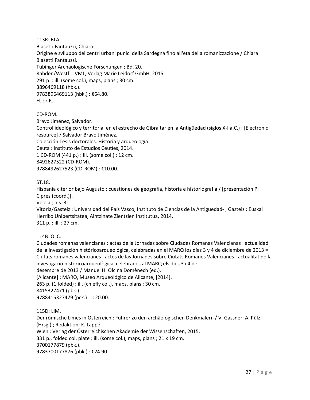#### 113R: BLA.

Blasetti Fantauzzi, Chiara. Origine e sviluppo dei centri urbani punici della Sardegna fino all'eta della romanizzazione / Chiara Blasetti Fantauzzi. Tübinger Archäologische Forschungen ; Bd. 20. Rahden/Westf. : VML, Verlag Marie Leidorf GmbH, 2015. 291 p. : ill. (some col.), maps, plans ; 30 cm. 3896469118 (hbk.). 9783896469113 (hbk.) : €64.80. H. or R.

#### CD-ROM.

Bravo Jiménez, Salvador.

Control ideológico y territorial en el estrecho de Gibraltar en la Antigüedad (siglos X-I a.C.) : [Electronic resource] / Salvador Bravo Jiménez.

Colección Tesis doctorales. Historia y arqueología.

Ceuta : Instituto de Estudios Ceutíes, 2014.

1 CD-ROM (441 p.) : Ill. (some col.) ; 12 cm.

8492627522 (CD-ROM).

9788492627523 (CD-ROM) : €10.00.

#### ST.18.

Hispania citerior bajo Augusto : cuestiones de geografía, historia e historiografía / [presentación P. Ciprés (coord.)].

Veleia ; n.s. 31.

Vitoria/Gasteiz : Universidad del País Vasco, Instituto de Ciencias de la Antiguedad- ; Gasteiz : Euskal Herriko Unibertsitatea, Aintzinate Zientzien Institutua, 2014. 311 p. : ill. ; 27 cm.

114B: OLC.

Ciudades romanas valencianas : actas de la Jornadas sobre Ciudades Romanas Valencianas : actualidad de la investigación históricoarqueológica, celebradas en el MARQ los días 3 y 4 de diciembre de 2013 = Ciutats romanes valencianes : actes de las Jornades sobre Ciutats Romanes Valencianes : actualitat de la investigació historicoarqueològica, celebrades al MARQ els dies 3 i 4 de

desembre de 2013 / Manuel H. Olcina Domènech (ed.).

[Alicante] : MARQ, Museo Arqueológico de Alicante, [2014].

263 p. (1 folded) : ill. (chiefly col.), maps, plans ; 30 cm.

8415327471 (pbk.).

9788415327479 (pck.) : €20.00.

115D: LIM.

Der römische Limes in Österreich : Führer zu den archäologischen Denkmälern / V. Gassner, A. Pülz (Hrsg.) ; Redaktion: K. Lappé. Wien : Verlag der Österreichischen Akademie der Wissenschaften, 2015.

331 p., folded col. plate : ill. (some col.), maps, plans ; 21 x 19 cm.

3700177879 (pbk.).

9783700177876 (pbk.) : €24.90.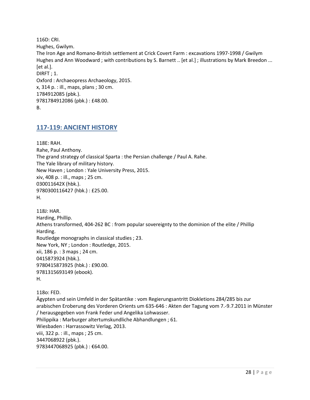116D: CRI. Hughes, Gwilym. The Iron Age and Romano-British settlement at Crick Covert Farm : excavations 1997-1998 / Gwilym Hughes and Ann Woodward ; with contributions by S. Barnett .. [et al.] ; illustrations by Mark Breedon ... [et al.]. DIRFT ; 1. Oxford : Archaeopress Archaeology, 2015. x, 314 p. : ill., maps, plans ; 30 cm. 1784912085 (pbk.). 9781784912086 (pbk.) : £48.00. B.

## <span id="page-27-0"></span>**117-119: ANCIENT HISTORY**

118E: RAH. Rahe, Paul Anthony. The grand strategy of classical Sparta : the Persian challenge / Paul A. Rahe. The Yale library of military history. New Haven ; London : Yale University Press, 2015. xiv, 408 p. : ill., maps ; 25 cm. 030011642X (hbk.). 9780300116427 (hbk.) : £25.00. H.

118J: HAR. Harding, Phillip. Athens transformed, 404-262 BC : from popular sovereignty to the dominion of the elite / Phillip Harding. Routledge monographs in classical studies ; 23. New York, NY ; London : Routledge, 2015. xii, 186 p. : 3 maps ; 24 cm. 0415873924 (hbk.). 9780415873925 (hbk.) : £90.00. 9781315693149 (ebook). H.

118o: FED. Ägypten und sein Umfeld in der Spätantike : vom Regierungsantritt Diokletions 284/285 bis zur arabischen Eroberung des Vorderen Orients um 635-646 : Akten der Tagung vom 7.-9.7.2011 in Münster / herausgegeben von Frank Feder und Angelika Lohwasser. Philippika : Marburger altertumskundliche Abhandlungen ; 61. Wiesbaden : Harrassowitz Verlag, 2013. viii, 322 p. : ill., maps ; 25 cm. 3447068922 (pbk.). 9783447068925 (pbk.): €64.00.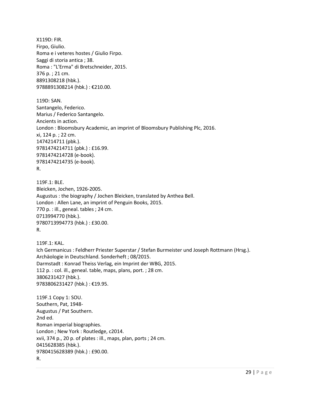X119D: FIR. Firpo, Giulio. Roma e i veteres hostes / Giulio Firpo. Saggi di storia antica ; 38. Roma : "L'Erma" di Bretschneider, 2015. 376 p. ; 21 cm. 8891308218 (hbk.). 9788891308214 (hbk.) : €210.00.

119D: SAN. Santangelo, Federico. Marius / Federico Santangelo. Ancients in action. London : Bloomsbury Academic, an imprint of Bloomsbury Publishing Plc, 2016. xi, 124 p. ; 22 cm. 1474214711 (pbk.). 9781474214711 (pbk.) : £16.99. 9781474214728 (e-book). 9781474214735 (e-book). R.

119F.1: BLE. Bleicken, Jochen, 1926-2005. Augustus : the biography / Jochen Bleicken, translated by Anthea Bell. London : Allen Lane, an imprint of Penguin Books, 2015. 770 p. : ill., geneal. tables ; 24 cm. 0713994770 (hbk.). 9780713994773 (hbk.) : £30.00. R.

119F.1: KAL. Ich Germanicus : Feldherr Priester Superstar / Stefan Burmeister und Joseph Rottmann (Hrsg.). Archäologie in Deutschland. Sonderheft ; 08/2015. Darmstadt : Konrad Theiss Verlag, ein Imprint der WBG, 2015. 112 p. : col. ill., geneal. table, maps, plans, port. ; 28 cm. 3806231427 (hbk.). 9783806231427 (hbk.) : €19.95.

119F.1 Copy 1: SOU. Southern, Pat, 1948- Augustus / Pat Southern. 2nd ed. Roman imperial biographies. London ; New York : Routledge, c2014. xvii, 374 p., 20 p. of plates : ill., maps, plan, ports ; 24 cm. 0415628385 (hbk.). 9780415628389 (hbk.) : £90.00. R.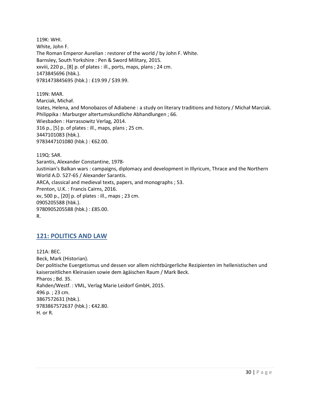119K: WHI. White, John F. The Roman Emperor Aurelian : restorer of the world / by John F. White. Barnsley, South Yorkshire : Pen & Sword Military, 2015. xxviii, 220 p., [8] p. of plates : ill., ports, maps, plans ; 24 cm. 1473845696 (hbk.). 9781473845695 (hbk.) : £19.99 / \$39.99.

119N: MAR. Marciak, Michał. Izates, Helena, and Monobazos of Adiabene : a study on literary traditions and history / Michał Marciak. Philippika : Marburger altertumskundliche Abhandlungen ; 66. Wiesbaden : Harrassowitz Verlag, 2014. 316 p., [5] p. of plates : ill., maps, plans ; 25 cm. 3447101083 (hbk.). 9783447101080 (hbk.) : €62.00.

119Q: SAR. Sarantis, Alexander Constantine, 1978- Justinian's Balkan wars : campaigns, diplomacy and development in Illyricum, Thrace and the Northern World A.D. 527-65 / Alexander Sarantis. ARCA, classical and medieval texts, papers, and monographs ; 53. Prenton, U.K. : Francis Cairns, 2016. xv, 500 p., [20] p. of plates : ill., maps ; 23 cm. 0905205588 (hbk.). 9780905205588 (hbk.) : £85.00. R.

# <span id="page-29-0"></span>**121: POLITICS AND LAW**

121A: BEC. Beck, Mark (Historian). Der politische Euergetismus und dessen vor allem nichtbürgerliche Rezipienten im hellenistischen und kaiserzeitlichen Kleinasien sowie dem ägäischen Raum / Mark Beck. Pharos ; Bd. 35. Rahden/Westf. : VML, Verlag Marie Leidorf GmbH, 2015. 496 p. ; 23 cm. 3867572631 (hbk.). 9783867572637 (hbk.) : €42.80. H. or R.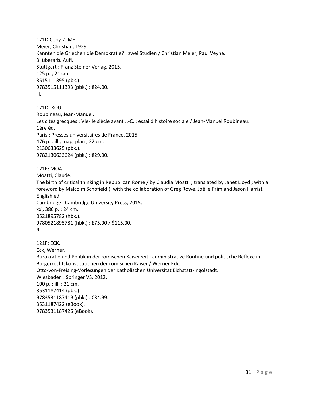121D Copy 2: MEI. Meier, Christian, 1929- Kannten die Griechen die Demokratie? : zwei Studien / Christian Meier, Paul Veyne. 3. überarb. Aufl. Stuttgart : Franz Steiner Verlag, 2015. 125 p. ; 21 cm. 3515111395 (pbk.). 9783515111393 (pbk.) : €24.00. H.

121D: ROU. Roubineau, Jean-Manuel. Les cités grecques : VIe-IIe siècle avant J.-C. : essai d'histoire sociale / Jean-Manuel Roubineau. 1ère éd. Paris : Presses universitaires de France, 2015. 476 p. : ill., map, plan ; 22 cm. 2130633625 (pbk.). 9782130633624 (pbk.) : €29.00.

121E: MOA. Moatti, Claude. The birth of critical thinking in Republican Rome / by Claudia Moatti ; translated by Janet Lloyd ; with a foreword by Malcolm Schofield (; with the collaboration of Greg Rowe, Joëlle Prim and Jason Harris). English ed. Cambridge : Cambridge University Press, 2015. xxi, 386 p. ; 24 cm. 0521895782 (hbk.). 9780521895781 (hbk.) : £75.00 / \$115.00. R.

121F: ECK. Eck, Werner. Bürokratie und Politik in der römischen Kaiserzeit : administrative Routine und politische Reflexe in Bürgerrechtskonstitutionen der römischen Kaiser / Werner Eck. Otto-von-Freising-Vorlesungen der Katholischen Universität Eichstätt-Ingolstadt. Wiesbaden : Springer VS, 2012. 100 p. : ill. ; 21 cm. 3531187414 (pbk.). 9783531187419 (pbk.) : €34.99. 3531187422 (eBook). 9783531187426 (eBook).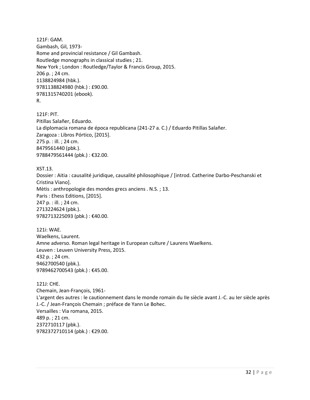121F: GAM. Gambash, Gil, 1973- Rome and provincial resistance / Gil Gambash. Routledge monographs in classical studies ; 21. New York ; London : Routledge/Taylor & Francis Group, 2015. 206 p. ; 24 cm. 1138824984 (hbk.). 9781138824980 (hbk.) : £90.00. 9781315740201 (ebook). R.

121F: PIT. Pitillas Salañer, Eduardo. La diplomacia romana de época republicana (241-27 a. C.) / Eduardo Pitillas Salañer. Zaragoza : Libros Pórtico, [2015]. 275 p. : ill. ; 24 cm. 8479561440 (pbk.). 9788479561444 (pbk.) : €32.00.

XST.13. Dossier : Aitia : causalité juridique, causalité philosophique / [introd. Catherine Darbo-Peschanski et Cristina Viano]. Mètis : anthropologie des mondes grecs anciens . N.S. ; 13. Paris : Ehess Editions, [2015]. 247 p. : ill. ; 24 cm. 2713224624 (pbk.). 9782713225093 (pbk.) : €40.00.

121i: WAE. Waelkens, Laurent. Amne adverso. Roman legal heritage in European culture / Laurens Waelkens. Leuven : Leuven University Press, 2015. 432 p. ; 24 cm. 9462700540 (pbk.). 9789462700543 (pbk.) : €45.00.

121J: CHE. Chemain, Jean-François, 1961- L'argent des autres : le cautionnement dans le monde romain du IIe siècle avant J.-C. au Ier siècle après J.-C. / Jean-François Chemain ; préface de Yann Le Bohec. Versailles : Via romana, 2015. 489 p. ; 21 cm. 2372710117 (pbk.). 9782372710114 (pbk.) : €29.00.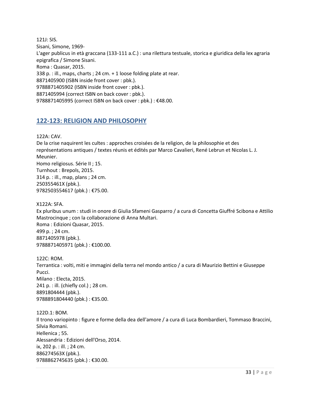121J: SIS. Sisani, Simone, 1969- L'ager publicus in età graccana (133-111 a.C.) : una rilettura testuale, storica e giuridica della lex agraria epigrafica / Simone Sisani. Roma : Quasar, 2015. 338 p. : ill., maps, charts ; 24 cm. + 1 loose folding plate at rear. 8871405900 (ISBN inside front cover : pbk.). 9788871405902 (ISBN inside front cover : pbk.). 8871405994 (correct ISBN on back cover : pbk.). 9788871405995 (correct ISBN on back cover : pbk.) : €48.00.

# <span id="page-32-0"></span>**122-123: RELIGION AND PHILOSOPHY**

122A: CAV.

De la crise naquirent les cultes : approches croisées de la religion, de la philosophie et des représentations antiques / textes réunis et édités par Marco Cavalieri, René Lebrun et Nicolas L. J. Meunier. Homo religiosus. Série II ; 15. Turnhout : Brepols, 2015. 314 p. : ill., map, plans ; 24 cm. 250355461X (pbk.). 9782503554617 (pbk.) : €75.00.

X122A: SFA.

Ex pluribus unum : studi in onore di Giulia Sfameni Gasparro / a cura di Concetta Giuffré Scibona e Attilio Mastrocinque ; con la collaborazione di Anna Multari. Roma : Edizioni Quasar, 2015. 499 p. ; 24 cm. 8871405978 (pbk.). 9788871405971 (pbk.) : €100.00.

122C: ROM. Terrantica : volti, miti e immagini della terra nel mondo antico / a cura di Maurizio Bettini e Giuseppe Pucci. Milano : Electa, 2015. 241 p. : ill. (chiefly col.) ; 28 cm. 8891804444 (pbk.). 9788891804440 (pbk.) : €35.00.

122D.1: BOM. Il trono variopinto : figure e forme della dea dell'amore / a cura di Luca Bombardieri, Tommaso Braccini, Silvia Romani. Hellenica ; 55. Alessandria : Edizioni dell'Orso, 2014. ix, 202 p. : ill. ; 24 cm. 886274563X (pbk.). 9788862745635 (pbk.) : €30.00.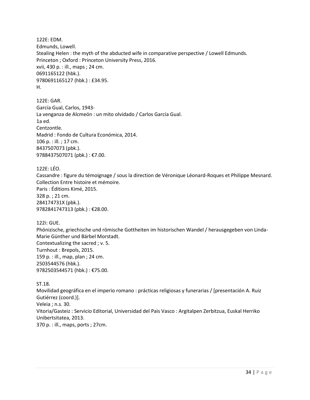122E: EDM. Edmunds, Lowell. Stealing Helen : the myth of the abducted wife in comparative perspective / Lowell Edmunds. Princeton ; Oxford : Princeton University Press, 2016. xvii, 430 p. : ill., maps ; 24 cm. 0691165122 (hbk.). 9780691165127 (hbk.) : £34.95. H.

122E: GAR. García Gual, Carlos, 1943- La venganza de Alcmeón : un mito olvidado / Carlos García Gual. 1a ed. Centzontle. Madrid : Fondo de Cultura Económica, 2014. 106 p. : ill. ; 17 cm. 8437507073 (pbk.). 9788437507071 (pbk.) : €7.00.

122E: LÉO. Cassandre : figure du témoignage / sous la direction de Véronique Léonard-Roques et Philippe Mesnard. Collection Entre histoire et mémoire. Paris : Éditions Kimé, 2015. 328 p. ; 21 cm. 284174731X (pbk.). 9782841747313 (pbk.) : €28.00.

122i: GUE.

Phönizische, griechische und römische Gottheiten im historischen Wandel / herausgegeben von Linda-Marie Günther und Bärbel Morstadt. Contextualizing the sacred ; v. 5. Turnhout : Brepols, 2015. 159 p. : ill., map, plan ; 24 cm. 2503544576 (hbk.). 9782503544571 (hbk.) : €75.00.

ST.18. Movilidad geográfica en el imperio romano : prácticas religiosas y funerarias / [presentación A. Ruiz Gutiérrez (coord.)]. Veleia ; n.s. 30. Vitoria/Gasteiz : Servicio Editorial, Universidad del Paìs Vasco : Argitalpen Zerbitzua, Euskal Herriko Unibertsitatea, 2013. 370 p. : ill., maps, ports ; 27cm.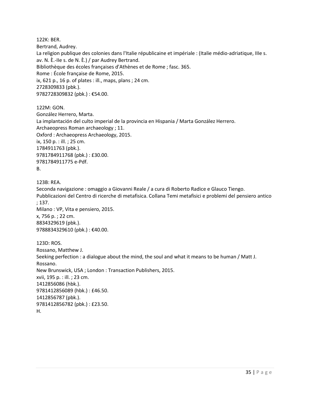122K: BER. Bertrand, Audrey. La religion publique des colonies dans l'Italie républicaine et impériale : (Italie médio-adriatique, IIIe s. av. N. È.-IIe s. de N. È.) / par Audrey Bertrand. Bibliothèque des écoles françaises d'Athènes et de Rome ; fasc. 365. Rome : École française de Rome, 2015. ix, 621 p., 16 p. of plates : ill., maps, plans ; 24 cm. 2728309833 (pbk.). 9782728309832 (pbk.) : €54.00.

122M: GON. González Herrero, Marta. La implantación del culto imperial de la provincia en Hispania / Marta González Herrero. Archaeopress Roman archaeology ; 11. Oxford : Archaeopress Archaeology, 2015. ix, 150 p. : ill. ; 25 cm. 1784911763 (pbk.). 9781784911768 (pbk.) : £30.00. 9781784911775 e-Pdf. B.

123B: REA. Seconda navigazione : omaggio a Giovanni Reale / a cura di Roberto Radice e Glauco Tiengo. Pubblicazioni del Centro di ricerche di metafisica. Collana Temi metafisici e problemi del pensiero antico ; 137. Milano : VP, Vita e pensiero, 2015. x, 756 p. ; 22 cm. 8834329619 (pbk.). 9788834329610 (pbk.) : €40.00. 123D: ROS. Rossano, Matthew J. Seeking perfection : a dialogue about the mind, the soul and what it means to be human / Matt J. Rossano. New Brunswick, USA ; London : Transaction Publishers, 2015. xvii, 195 p. : ill. ; 23 cm.

1412856086 (hbk.). 9781412856089 (hbk.) : £46.50. 1412856787 (pbk.). 9781412856782 (pbk.) : £23.50. H.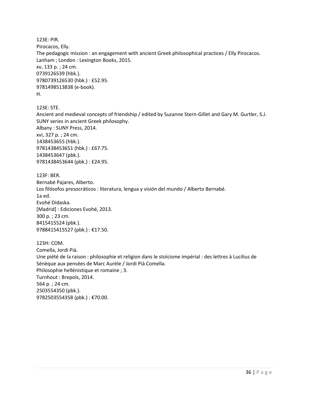123E: PIR. Pirocacos, Elly. The pedagogic mission : an engagement with ancient Greek philosophical practices / Elly Pirocacos. Lanham ; London : Lexington Books, 2015. xv, 133 p. ; 24 cm. 0739126539 (hbk.). 9780739126530 (hbk.) : £52.95. 9781498513838 (e-book). H.

123E: STE.

Ancient and medieval concepts of friendship / edited by Suzanne Stern-Gillet and Gary M. Gurtler, S.J. SUNY series in ancient Greek philosophy. Albany : SUNY Press, 2014. xvi, 327 p. ; 24 cm. 1438453655 (hbk.). 9781438453651 (hbk.) : £67.75. 1438453647 (pbk.). 9781438453644 (pbk.) : £24.95.

123F: BER. Bernabé Pajares, Alberto. Los filósofos presocráticos : literatura, lengua y visión del mundo / Alberto Bernabé. 1a ed. Evohé Didaska. [Madrid] : Ediciones Evohé, 2013. 300 p. ; 23 cm. 8415415524 (pbk.). 9788415415527 (pbk.) : €17.50.

123H: COM. Comella, Jordi Pià. Une piété de la raison : philosophie et religion dans le stoïcisme impérial : des lettres à Lucilius de Sénèque aux pensées de Marc Aurèle / Jordi Pià Comella. Philosophie hellénistique et romaine ; 3. Turnhout : Brepols, 2014. 564 p. ; 24 cm. 2503554350 (pbk.). 9782503554358 (pbk.) : €70.00.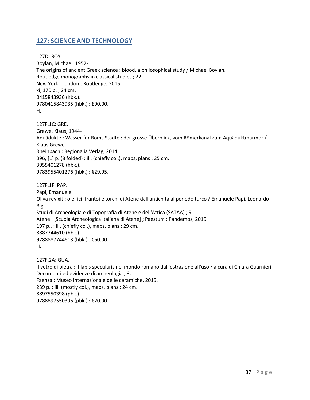# <span id="page-36-0"></span>**127: SCIENCE AND TECHNOLOGY**

127D: BOY. Boylan, Michael, 1952- The origins of ancient Greek science : blood, a philosophical study / Michael Boylan. Routledge monographs in classical studies ; 22. New York ; London : Routledge, 2015. xi, 170 p. ; 24 cm. 0415843936 (hbk.). 9780415843935 (hbk.) : £90.00. H.

127F.1C: GRE. Grewe, Klaus, 1944- Aquädukte : Wasser für Roms Städte : der grosse Überblick, vom Römerkanal zum Aquäduktmarmor / Klaus Grewe. Rheinbach : Regionalia Verlag, 2014. 396, [1] p. (8 folded) : ill. (chiefly col.), maps, plans ; 25 cm. 3955401278 (hbk.). 9783955401276 (hbk.) : €29.95.

127F.1F: PAP. Papi, Emanuele. Oliva revixit : oleifici, frantoi e torchi di Atene dall'antichità al periodo turco / Emanuele Papi, Leonardo Bigi. Studi di Archeologia e di Topografia di Atene e dell'Attica (SATAA) ; 9. Atene : [Scuola Archeologica Italiana di Atene] ; Paestum : Pandemos, 2015. 197 p., : ill. (chiefly col.), maps, plans ; 29 cm. 8887744610 (hbk.). 9788887744613 (hbk.) : €60.00. H. 127F.2A: GUA.

Il vetro di pietra : il lapis specularis nel mondo romano dall'estrazione all'uso / a cura di Chiara Guarnieri. Documenti ed evidenze di archeologia ; 3. Faenza : Museo internazionale delle ceramiche, 2015. 239 p. : ill. (mostly col.), maps, plans ; 24 cm. 8897550398 (pbk.). 9788897550396 (pbk.) : €20.00.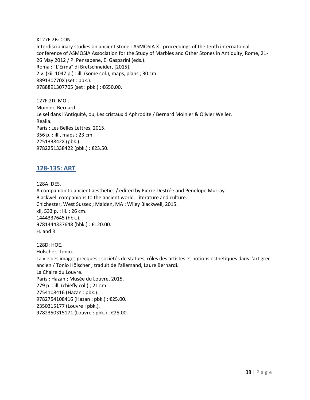X127F.2B: CON. Interdisciplinary studies on ancient stone : ASMOSIA X : proceedings of the tenth international conference of ASMOSIA Association for the Study of Marbles and Other Stones in Antiquity, Rome, 21- 26 May 2012 / P. Pensabene, E. Gasparini (eds.). Roma : "L'Erma" di Bretschneider, [2015]. 2 v. (xii, 1047 p.) : ill. (some col.), maps, plans ; 30 cm. 889130770X (set : pbk.). 9788891307705 (set : pbk.) : €650.00.

127F.2D: MOI. Moinier, Bernard. Le sel dans l'Antiquité, ou, Les cristaux d'Aphrodite / Bernard Moinier & Olivier Weller. Realia. Paris : Les Belles Lettres, 2015. 356 p. : ill., maps ; 23 cm. 225133842X (pbk.). 9782251338422 (pbk.) : €23.50.

# <span id="page-37-0"></span>**128-135: ART**

128A: DES.

A companion to ancient aesthetics / edited by Pierre Destrée and Penelope Murray. Blackwell companions to the ancient world. Literature and culture. Chichester, West Sussex ; Malden, MA : Wiley Blackwell, 2015. xii, 533 p. : ill. ; 26 cm. 1444337645 (hbk.). 9781444337648 (hbk.) : £120.00. H. and R.

128D: HOE. Hölscher, Tonio. La vie des images grecques : sociétés de statues, rôles des artistes et notions esthétiques dans l'art grec ancien / Tonio Hölscher ; traduit de l'allemand, Laure Bernardi. La Chaire du Louvre. Paris : Hazan ; Musée du Louvre, 2015. 279 p. : ill. (chiefly col.) ; 21 cm. 2754108416 (Hazan : pbk.). 9782754108416 (Hazan : pbk.) : €25.00. 2350315177 (Louvre : pbk.). 9782350315171 (Louvre : pbk.) : €25.00.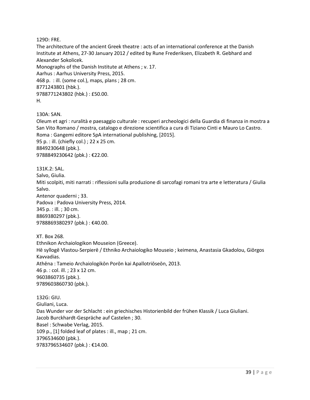129D: FRE.

The architecture of the ancient Greek theatre : acts of an international conference at the Danish Institute at Athens, 27-30 January 2012 / edited by Rune Frederiksen, Elizabeth R. Gebhard and Alexander Sokolicek. Monographs of the Danish Institute at Athens ; v. 17. Aarhus : Aarhus University Press, 2015. 468 p. : ill. (some col.), maps, plans ; 28 cm. 8771243801 (hbk.). 9788771243802 (hbk.) : £50.00.

H.

130A: SAN.

Oleum et agri : ruralità e paesaggio culturale : recuperi archeologici della Guardia di finanza in mostra a San Vito Romano / mostra, catalogo e direzione scientifica a cura di Tiziano Cinti e Mauro Lo Castro. Roma : Gangemi editore SpA international publishing, [2015]. 95 p. : ill. (chiefly col.) ; 22 x 25 cm. 8849230648 (pbk.). 9788849230642 (pbk.) : €22.00.

131K.2: SAL. Salvo, Giulia. Miti scolpiti, miti narrati : riflessioni sulla produzione di sarcofagi romani tra arte e letteratura / Giulia Salvo. Antenor quaderni ; 33. Padova : Padova University Press, 2014. 345 p. : ill. ; 30 cm. 8869380297 (pbk.). 9788869380297 (pbk.) : €40.00.

XT. Box 268. Ethnikon Archaiologikon Mouseion (Greece). Hē syllogē Vlastou-Serpierē / Ethniko Archaiologiko Mouseio ; keimena, Anastasia Gkadolou, Giōrgos Kavvadias. Athēna : Tameio Archaiologikōn Porōn kai Apallotriōseōn, 2013. 46 p. : col. ill. ; 23 x 12 cm. 9603860735 (pbk.). 9789603860730 (pbk.).

132G: GIU. Giuliani, Luca. Das Wunder vor der Schlacht : ein griechisches Historienbild der frühen Klassik / Luca Giuliani. Jacob Burckhardt-Gespräche auf Castelen ; 30. Basel : Schwabe Verlag, 2015. 109 p., [1] folded leaf of plates : ill., map ; 21 cm. 3796534600 (pbk.). 9783796534607 (pbk.) : €14.00.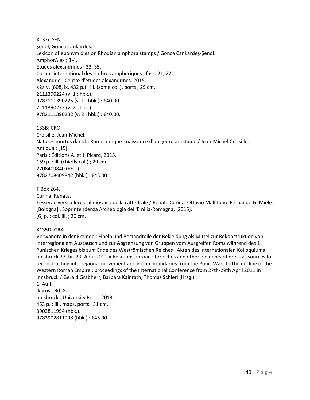X132i: SEN. Şenol, Gonca Cankardeş. Lexicon of eponym dies on Rhodian amphora stamps / Gonca Cankardeş-Şenol. AmphorAlex ; 3-4. Etudes alexandrines ; 33, 35. Corpus international des timbres amphoriques ; fasc. 21, 22. Alexandrie : Centre d'études alexandrines, 2015. <2> v. (608, ix, 432 p.) : ill. (some col.), ports ; 29 cm. 2111390224 (v. 1 : hbk.). 9782111390225 (v. 1 : hbk.) : €40.00. 2111390232 (v. 2 : hbk.). 9782111390232 (v. 2 : hbk.) : €40.00.

133B: CRO. Croisille, Jean-Michel. Natures mortes dans la Rome antique : naissance d'un genre artistique / Jean-Michel Croisille. Antiqua ; [15]. Paris : Éditions A. et J. Picard, 2015. 159 p. : ill. (chiefly col.) ; 29 cm. 2708409840 (hbk.). 9782708409842 (hbk.) : €43.00.

T.Box 264.

Curina, Renata.

Tesserae versicolores : il mosaico della cattedrale / Renata Curina, Ottavio Malfitano, Fernando G. Miele. [Bologna] : Soprintendenza Archeologia dell'Emilia-Romagna, [2015]. [6] p. : col. ill. ; 20 cm.

X135D: GRA.

Verwandte in der Fremde : Fibeln und Bestandteile der Bekleidung als Mittel zur Rekonstruktion von interregionalem Austausch und zur Abgrenzung von Gruppen vom Ausgreifen Roms während des 1. Punischen Krieges bis zum Ende des Weströmischen Reiches : Akten des Internationalen Kolloquiums Innsbruck 27. bis 29. April 2011 = Relations abroad : brooches and other elements of dress as sources for reconstructing interregional movement and group boundaries from the Punic Wars to the decline of the Western Roman Empire : proceedings of the International Conference from 27th-29th April 2011 in Innsbruck / Gerald Grabherr, Barbara Kainrath, Thomas Schierl (Hrsg.).

1. Aufl. Ikarus ; Bd. 8. Innsbruck : University Press, 2013. 453 p. : ill., maps, ports ; 31 cm. 3902811994 (hbk.). 9783902811998 (hbk.) : €45.00.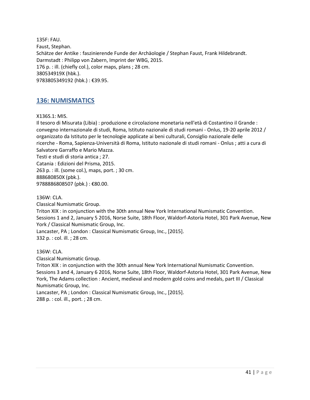135F: FAU. Faust, Stephan. Schätze der Antike : faszinierende Funde der Archäologie / Stephan Faust, Frank Hildebrandt. Darmstadt : Philipp von Zabern, Imprint der WBG, 2015. 176 p. : ill. (chiefly col.), color maps, plans ; 28 cm. 380534919X (hbk.). 9783805349192 (hbk.) : €39.95.

# <span id="page-40-0"></span>**136: NUMISMATICS**

X136S.1: MIS.

Il tesoro di Misurata (Libia) : produzione e circolazione monetaria nell'età di Costantino il Grande : convegno internazionale di studi, Roma, Istituto nazionale di studi romani - Onlus, 19-20 aprile 2012 / organizzato da Istituto per le tecnologie applicate ai beni culturali, Consiglio nazionale delle ricerche - Roma, Sapienza-Università di Roma, Istituto nazionale di studi romani - Onlus ; atti a cura di Salvatore Garraffo e Mario Mazza. Testi e studi di storia antica ; 27. Catania : Edizioni del Prisma, 2015. 263 p. : ill. (some col.), maps, port. ; 30 cm. 888680850X (pbk.). 9788886808507 (pbk.) : €80.00.

136W: CLA.

Classical Numismatic Group. Triton XIX : in conjunction with the 30th annual New York International Numismatic Convention. Sessions 1 and 2, January 5 2016, Norse Suite, 18th Floor, Waldorf-Astoria Hotel, 301 Park Avenue, New York / Classical Numismatic Group, Inc. Lancaster, PA ; London : Classical Numismatic Group, Inc., [2015]. 332 p. : col. ill. ; 28 cm.

136W: CLA.

Classical Numismatic Group.

Triton XIX : in conjunction with the 30th annual New York International Numismatic Convention. Sessions 3 and 4, January 6 2016, Norse Suite, 18th Floor, Waldorf-Astoria Hotel, 301 Park Avenue, New York, The Adams collection : Ancient, medieval and modern gold coins and medals, part III / Classical Numismatic Group, Inc.

Lancaster, PA ; London : Classical Numismatic Group, Inc., [2015]. 288 p. : col. ill., port. ; 28 cm.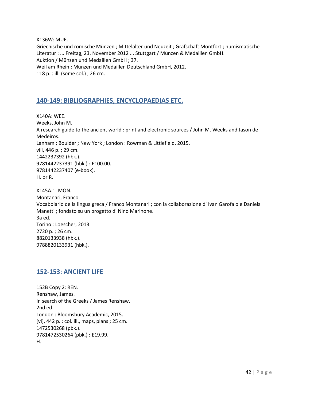X136W: MUE. Griechische und römische Münzen ; Mittelalter und Neuzeit ; Grafschaft Montfort ; numismatische Literatur : ... Freitag, 23. November 2012 ... Stuttgart / Münzen & Medaillen GmbH. Auktion / Münzen und Medaillen GmbH ; 37. Weil am Rhein : Münzen und Medaillen Deutschland GmbH, 2012. 118 p. : ill. (some col.) ; 26 cm.

# <span id="page-41-0"></span>**140-149: BIBLIOGRAPHIES, ENCYCLOPAEDIAS ETC.**

X140A: WEE. Weeks, John M. A research guide to the ancient world : print and electronic sources / John M. Weeks and Jason de Medeiros. Lanham ; Boulder ; New York ; London : Rowman & Littlefield, 2015. viii, 446 p. ; 29 cm. 1442237392 (hbk.). 9781442237391 (hbk.) : £100.00. 9781442237407 (e-book). H. or R.

X145A.1: MON. Montanari, Franco. Vocabolario della lingua greca / Franco Montanari ; con la collaborazione di Ivan Garofalo e Daniela Manetti ; fondato su un progetto di Nino Marinone. 3a ed. Torino : Loescher, 2013. 2720 p. ; 26 cm. 8820133938 (hbk.). 9788820133931 (hbk.).

# <span id="page-41-1"></span>**152-153: ANCIENT LIFE**

152B Copy 2: REN. Renshaw, James. In search of the Greeks / James Renshaw. 2nd ed. London : Bloomsbury Academic, 2015. [vi], 442 p. : col. ill., maps, plans ; 25 cm. 1472530268 (pbk.). 9781472530264 (pbk.) : £19.99. H.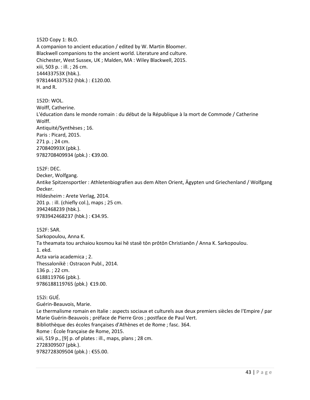152D Copy 1: BLO. A companion to ancient education / edited by W. Martin Bloomer. Blackwell companions to the ancient world. Literature and culture. Chichester, West Sussex, UK ; Malden, MA : Wiley Blackwell, 2015. xiii, 503 p. : ill. ; 26 cm. 144433753X (hbk.). 9781444337532 (hbk.) : £120.00. H. and R.

152D: WOL. Wolff, Catherine. L'éducation dans le monde romain : du début de la République à la mort de Commode / Catherine Wolff. Antiquité/Synthèses ; 16. Paris : Picard, 2015. 271 p. ; 24 cm. 270840993X (pbk.). 9782708409934 (pbk.) : €39.00.

152F: DEC. Decker, Wolfgang. Antike Spitzensportler : Athletenbiografien aus dem Alten Orient, Ägypten und Griechenland / Wolfgang Decker. Hildesheim : Arete Verlag, 2014. 201 p. : ill. (chiefly col.), maps ; 25 cm. 3942468239 (hbk.). 9783942468237 (hbk.) : €34.95.

152F: SAR. Sarkopoulou, Anna K. Ta theamata tou archaiou kosmou kai hē stasē tōn prōtōn Christianōn / Anna K. Sarkopoulou. 1. ekd. Acta varia academica ; 2. Thessalonikē : Ostracon Publ., 2014. 136 p. ; 22 cm. 6188119766 (pbk.). 9786188119765 (pbk.) €19.00.

152i: GUÉ. Guérin-Beauvois, Marie. Le thermalisme romain en Italie : aspects sociaux et culturels aux deux premiers siècles de l'Empire / par Marie Guérin-Beauvois ; préface de Pierre Gros ; postface de Paul Vert. Bibliothèque des écoles françaises d'Athènes et de Rome ; fasc. 364. Rome : École française de Rome, 2015. xiii, 519 p., [9] p. of plates : ill., maps, plans ; 28 cm. 2728309507 (pbk.). 9782728309504 (pbk.) : €55.00.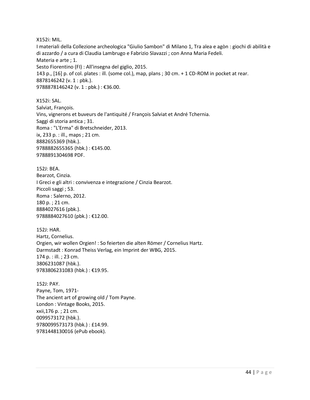X152i: MIL.

I materiali della Collezione archeologica "Giulio Sambon" di Milano 1, Tra alea e agòn : giochi di abilità e di azzardo / a cura di Claudia Lambrugo e Fabrizio Slavazzi ; con Anna Maria Fedeli. Materia e arte ; 1. Sesto Fiorentino (FI) : All'insegna del giglio, 2015. 143 p., [16] p. of col. plates : ill. (some col.), map, plans ; 30 cm. + 1 CD-ROM in pocket at rear. 8878146242 (v. 1 : pbk.). 9788878146242 (v. 1 : pbk.) : €36.00.

X152i: SAL. Salviat, François. Vins, vignerons et buveurs de l'antiquité / François Salviat et André Tchernia. Saggi di storia antica ; 31. Roma : "L'Erma" di Bretschneider, 2013. ix, 233 p. : ill., maps ; 21 cm. 8882655369 (hbk.). 9788882655365 (hbk.) : €145.00. 9788891304698 PDF.

152J: BEA. Bearzot, Cinzia. I Greci e gli altri : convivenza e integrazione / Cinzia Bearzot. Piccoli saggi ; 53. Roma : Salerno, 2012. 180 p. ; 21 cm. 8884027616 (pbk.). 9788884027610 (pbk.) : €12.00.

152J: HAR. Hartz, Cornelius. Orgien, wir wollen Orgien! : So feierten die alten Römer / Cornelius Hartz. Darmstadt : Konrad Theiss Verlag, ein Imprint der WBG, 2015. 174 p. : ill. ; 23 cm. 3806231087 (hbk.). 9783806231083 (hbk.) : €19.95.

152J: PAY. Payne, Tom, 1971- The ancient art of growing old / Tom Payne. London : Vintage Books, 2015. xxii,176 p. ; 21 cm. 0099573172 (hbk.). 9780099573173 (hbk.) : £14.99. 9781448130016 (ePub ebook).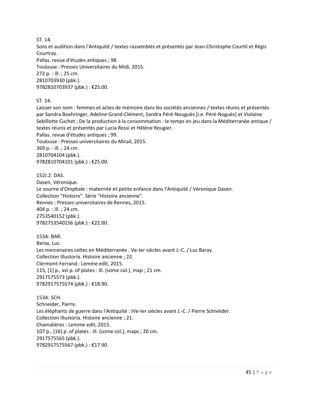ST. 14.

Sons et audition dans l'Antiquité / textes rassemblés et présentés par Jean-Christophe Courtil et Régis Courtray.

Pallas. revue d'études antiques ; 98. Toulouse : Presses Universitaires du Midi, 2015. 272 p. : ill. ; 25 cm. 2810703930 (pbk.). 9782810703937 (pbk.) : €25.00.

ST. 14.

Laisser son nom : femmes et actes de mémoire dans les sociétés anciennes / textes réunis et présentés par Sandra Boehringer, Adeline Grand-Clément, Sandra Péré-Nouguès [i.e. Péré-Noguès] et Violaine Sebillotte Cuchet ; De la production à la consommation : le temps en jeu dans la Méditerranée antique / textes réunis et présentés par Lucia Rossi et Hélène Rougier. Pallas. revue d'études antiques ; 99. Toulouse : Presses universitaires du Mirail, 2015. 369 p. : ill. ; 24 cm. 2810704104 (pbk.). 9782810704101 (pbk.) : €25.00.

152J.2: DAS. Dasen, Véronique. Le sourire d'Omphale : maternité et petite enfance dans l'Antiquité / Véronique Dasen. Collection "Histoire". Série "Histoire ancienne". Rennes : Presses universitaires de Rennes, 2015. 404 p. : ill. ; 24 cm. 2753540152 (pbk.). 9782753540156 (pbk.) : €22.00.

153A: BAR. Baray, Luc. Les mercenaires celtes en Méditerranée : Ve-Ier siècles avant J.-C. / Luc Baray. Collection Illustoria. Histoire ancienne ; 22. Clermont-Ferrand : Lemme edit, 2015. 115, [1] p., xvi p. of plates : ill. (some col.), map ; 21 cm. 2917575573 (pbk.). 9782917575574 (pbk.) : €18.90.

153A: SCH. Schneider, Pierre. Les éléphants de guerre dans l'Antiquité : IVe-Ier siècles avant J.-C. / Pierre Schneider. Collection Illustoria. Histoire ancienne ; 21. Chamalières : Lemme edit, 2015. 107 p., [16] p. of plates : ill. (some col.), maps ; 20 cm. 2917575565 (pbk.). 9782917575567 (pbk.) : €17.90.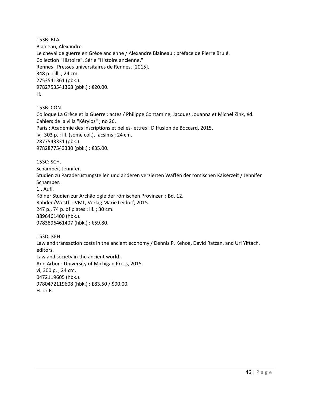153B: BLA. Blaineau, Alexandre. Le cheval de guerre en Grèce ancienne / Alexandre Blaineau ; préface de Pierre Brulé. Collection "Histoire". Série "Histoire ancienne." Rennes : Presses universitaires de Rennes, [2015]. 348 p. : ill. ; 24 cm. 2753541361 (pbk.). 9782753541368 (pbk.) : €20.00. H.

153B: CON.

Colloque La Grèce et la Guerre : actes / Philippe Contamine, Jacques Jouanna et Michel Zink, éd. Cahiers de la villa "Kérylos" ; no 26. Paris : Académie des inscriptions et belles-lettres : Diffusion de Boccard, 2015. iv, 303 p. : ill. (some col.), facsims ; 24 cm. 2877543331 (pbk.). 9782877543330 (pbk.) : €35.00.

153C: SCH.

Schamper, Jennifer.

Studien zu Paraderüstungsteilen und anderen verzierten Waffen der römischen Kaiserzeit / Jennifer Schamper.

1., Aufl.

Kölner Studien zur Archäologie der römischen Provinzen ; Bd. 12.

Rahden/Westf. : VML, Verlag Marie Leidorf, 2015.

247 p., 74 p. of plates : ill. ; 30 cm. 3896461400 (hbk.).

9783896461407 (hbk.) : €59.80.

153D: KEH. Law and transaction costs in the ancient economy / Dennis P. Kehoe, David Ratzan, and Uri Yiftach, editors. Law and society in the ancient world. Ann Arbor : University of Michigan Press, 2015. vi, 300 p. ; 24 cm. 0472119605 (hbk.). 9780472119608 (hbk.) : £83.50 / \$90.00. H. or R.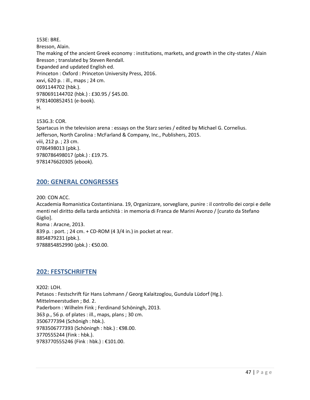153E: BRE. Bresson, Alain. The making of the ancient Greek economy : institutions, markets, and growth in the city-states / Alain Bresson ; translated by Steven Rendall. Expanded and updated English ed. Princeton : Oxford : Princeton University Press, 2016. xxvi, 620 p. : ill., maps ; 24 cm. 0691144702 (hbk.). 9780691144702 (hbk.) : £30.95 / \$45.00. 9781400852451 (e-book). H.

153G.3: COR. Spartacus in the television arena : essays on the Starz series / edited by Michael G. Cornelius. Jefferson, North Carolina : McFarland & Company, Inc., Publishers, 2015. viii, 212 p. ; 23 cm. 0786498013 (pbk.). 9780786498017 (pbk.) : £19.75. 9781476620305 (ebook).

### <span id="page-46-0"></span>**200: GENERAL CONGRESSES**

200: CON ACC.

Accademia Romanistica Costantiniana. 19, Organizzare, sorvegliare, punire : il controllo dei corpi e delle menti nel diritto della tarda antichità : in memoria di Franca de Marini Avonzo / [curato da Stefano Giglio]. Roma : Aracne, 2013. 839 p. : port. ; 24 cm. + CD-ROM (4 3/4 in.) in pocket at rear. 8854879231 (pbk.). 9788854852990 (pbk.) : €50.00.

# <span id="page-46-1"></span>**202: FESTSCHRIFTEN**

X202: LOH. Petasos : Festschrift für Hans Lohmann / Georg Kalaitzoglou, Gundula Lüdorf (Hg.). Mittelmeerstudien ; Bd. 2. Paderborn : Wilhelm Fink ; Ferdinand Schöningh, 2013. 363 p., 56 p. of plates : ill., maps, plans ; 30 cm. 3506777394 (Schönigh : hbk.). 9783506777393 (Schöningh : hbk.) : €98.00. 3770555244 (Fink : hbk.). 9783770555246 (Fink : hbk.) : €101.00.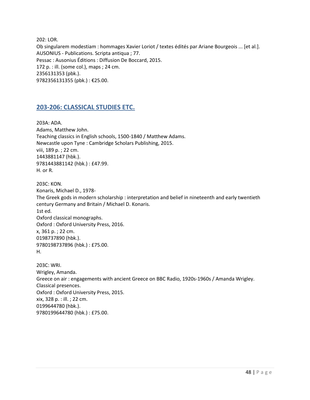202: LOR. Ob singularem modestiam : hommages Xavier Loriot / textes édités par Ariane Bourgeois ... [et al.]. AUSONIUS - Publications. Scripta antiqua ; 77. Pessac : Ausonius Éditions : Diffusion De Boccard, 2015. 172 p. : ill. (some col.), maps ; 24 cm. 2356131353 (pbk.). 9782356131355 (pbk.) : €25.00.

# <span id="page-47-0"></span>**203-206: CLASSICAL STUDIES ETC.**

203A: ADA. Adams, Matthew John. Teaching classics in English schools, 1500-1840 / Matthew Adams. Newcastle upon Tyne : Cambridge Scholars Publishing, 2015. viii, 189 p. ; 22 cm. 1443881147 (hbk.). 9781443881142 (hbk.) : £47.99. H. or R.

203C: KON. Konaris, Michael D., 1978- The Greek gods in modern scholarship : interpretation and belief in nineteenth and early twentieth century Germany and Britain / Michael D. Konaris. 1st ed. Oxford classical monographs. Oxford : Oxford University Press, 2016. x, 361 p. ; 22 cm. 0198737890 (hbk.). 9780198737896 (hbk.) : £75.00. H.

203C: WRI. Wrigley, Amanda. Greece on air : engagements with ancient Greece on BBC Radio, 1920s-1960s / Amanda Wrigley. Classical presences. Oxford : Oxford University Press, 2015. xix, 328 p. : ill. ; 22 cm. 0199644780 (hbk.). 9780199644780 (hbk.) : £75.00.